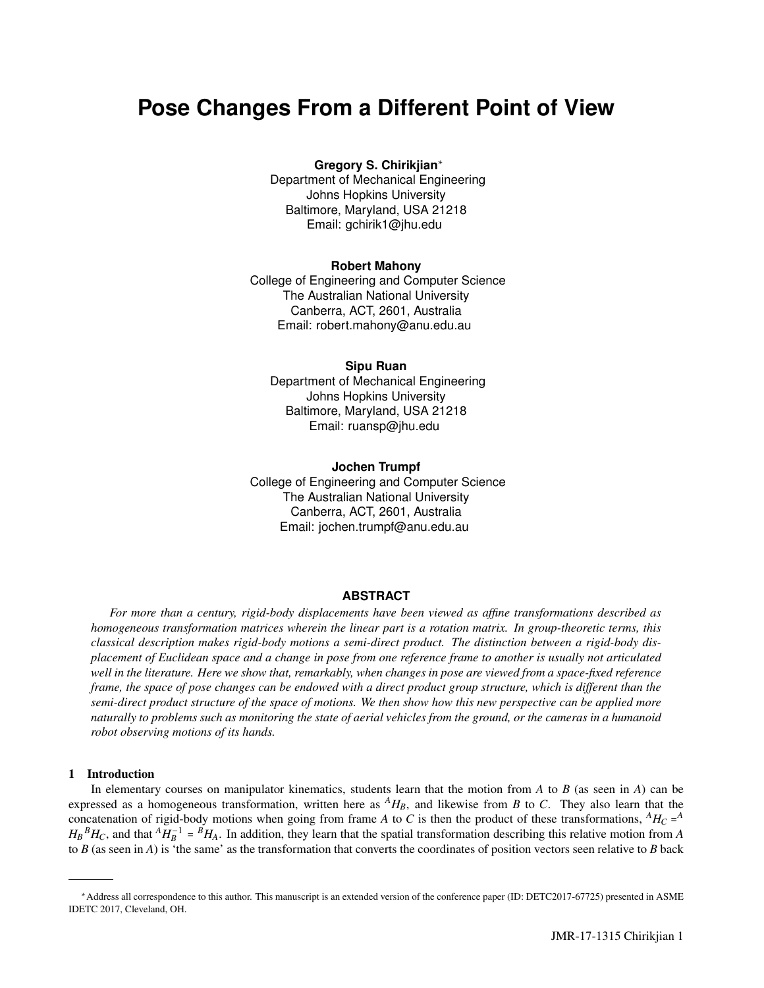# **Pose Changes From a Different Point of View**

# **Gregory S. Chirikjian**<sup>∗</sup>

Department of Mechanical Engineering Johns Hopkins University Baltimore, Maryland, USA 21218 Email: gchirik1@jhu.edu

## **Robert Mahony**

College of Engineering and Computer Science The Australian National University Canberra, ACT, 2601, Australia Email: robert.mahony@anu.edu.au

## **Sipu Ruan**

Department of Mechanical Engineering Johns Hopkins University Baltimore, Maryland, USA 21218 Email: ruansp@jhu.edu

## **Jochen Trumpf**

College of Engineering and Computer Science The Australian National University Canberra, ACT, 2601, Australia Email: jochen.trumpf@anu.edu.au

# **ABSTRACT**

*For more than a century, rigid-body displacements have been viewed as affine transformations described as homogeneous transformation matrices wherein the linear part is a rotation matrix. In group-theoretic terms, this classical description makes rigid-body motions a semi-direct product. The distinction between a rigid-body displacement of Euclidean space and a change in pose from one reference frame to another is usually not articulated well in the literature. Here we show that, remarkably, when changes in pose are viewed from a space-fixed reference frame, the space of pose changes can be endowed with a direct product group structure, which is different than the semi-direct product structure of the space of motions. We then show how this new perspective can be applied more naturally to problems such as monitoring the state of aerial vehicles from the ground, or the cameras in a humanoid robot observing motions of its hands.*

## 1 Introduction

In elementary courses on manipulator kinematics, students learn that the motion from *A* to *B* (as seen in *A*) can be expressed as a homogeneous transformation, written here as  $^{A}H_{B}$ , and likewise from *B* to *C*. They also learn that the concatenation of rigid-body motions when going from frame *A* to *C* is then the product of these transformations, *<sup>A</sup>H<sup>C</sup>* = *A*  $H_B{}^B H_C$ , and that  ${}^A H_B^{-1} = {}^B H_A$ . In addition, they learn that the spatial transformation describing this relative motion from *A* to *B* (as seen in *A*) is 'the same' as the transformation that converts the coordinates of position vectors seen relative to *B* back

<sup>∗</sup>Address all correspondence to this author. This manuscript is an extended version of the conference paper (ID: DETC2017-67725) presented in ASME IDETC 2017, Cleveland, OH.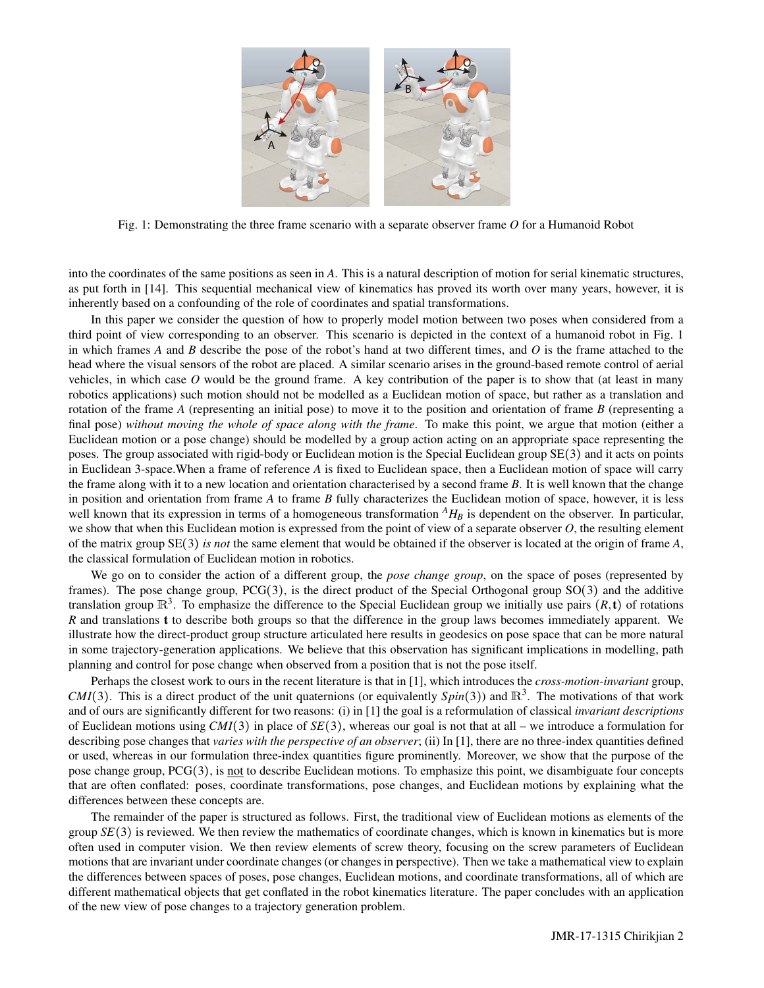

Fig. 1: Demonstrating the three frame scenario with a separate observer frame *O* for a Humanoid Robot

into the coordinates of the same positions as seen in *A*. This is a natural description of motion for serial kinematic structures, as put forth in [14]. This sequential mechanical view of kinematics has proved its worth over many years, however, it is inherently based on a confounding of the role of coordinates and spatial transformations.

In this paper we consider the question of how to properly model motion between two poses when considered from a third point of view corresponding to an observer. This scenario is depicted in the context of a humanoid robot in Fig. 1 in which frames *A* and *B* describe the pose of the robot's hand at two different times, and *O* is the frame attached to the head where the visual sensors of the robot are placed. A similar scenario arises in the ground-based remote control of aerial vehicles, in which case *O* would be the ground frame. A key contribution of the paper is to show that (at least in many robotics applications) such motion should not be modelled as a Euclidean motion of space, but rather as a translation and rotation of the frame *A* (representing an initial pose) to move it to the position and orientation of frame *B* (representing a final pose) *without moving the whole of space along with the frame*. To make this point, we argue that motion (either a Euclidean motion or a pose change) should be modelled by a group action acting on an appropriate space representing the poses. The group associated with rigid-body or Euclidean motion is the Special Euclidean group SE(3) and it acts on points in Euclidean 3-space.When a frame of reference *A* is fixed to Euclidean space, then a Euclidean motion of space will carry the frame along with it to a new location and orientation characterised by a second frame *B*. It is well known that the change in position and orientation from frame *A* to frame *B* fully characterizes the Euclidean motion of space, however, it is less well known that its expression in terms of a homogeneous transformation  $^{A}H_{B}$  is dependent on the observer. In particular, we show that when this Euclidean motion is expressed from the point of view of a separate observer *O*, the resulting element of the matrix group SE(3) *is not* the same element that would be obtained if the observer is located at the origin of frame *A*, the classical formulation of Euclidean motion in robotics.

We go on to consider the action of a different group, the *pose change group*, on the space of poses (represented by frames). The pose change group, PCG(3), is the direct product of the Special Orthogonal group SO(3) and the additive translation group  $\mathbb{R}^3$ . To emphasize the difference to the Special Euclidean group we initially use pairs  $(R, t)$  of rotations *R* and translations t to describe both groups so that the difference in the group laws becomes immediately apparent. We illustrate how the direct-product group structure articulated here results in geodesics on pose space that can be more natural in some trajectory-generation applications. We believe that this observation has significant implications in modelling, path planning and control for pose change when observed from a position that is not the pose itself.

Perhaps the closest work to ours in the recent literature is that in [1], which introduces the *cross-motion-invariant* group, *CMI*(3). This is a direct product of the unit quaternions (or equivalently  $Spin(3)$ ) and  $\mathbb{R}^3$ . The motivations of that work and of ours are significantly different for two reasons: (i) in [1] the goal is a reformulation of classical *invariant descriptions* of Euclidean motions using *CMI*(3) in place of *SE*(3), whereas our goal is not that at all – we introduce a formulation for describing pose changes that *varies with the perspective of an observer*; (ii) In [1], there are no three-index quantities defined or used, whereas in our formulation three-index quantities figure prominently. Moreover, we show that the purpose of the pose change group, PCG(3), is not to describe Euclidean motions. To emphasize this point, we disambiguate four concepts that are often conflated: poses, coordinate transformations, pose changes, and Euclidean motions by explaining what the differences between these concepts are.

The remainder of the paper is structured as follows. First, the traditional view of Euclidean motions as elements of the group *SE*(3) is reviewed. We then review the mathematics of coordinate changes, which is known in kinematics but is more often used in computer vision. We then review elements of screw theory, focusing on the screw parameters of Euclidean motions that are invariant under coordinate changes (or changes in perspective). Then we take a mathematical view to explain the differences between spaces of poses, pose changes, Euclidean motions, and coordinate transformations, all of which are different mathematical objects that get conflated in the robot kinematics literature. The paper concludes with an application of the new view of pose changes to a trajectory generation problem.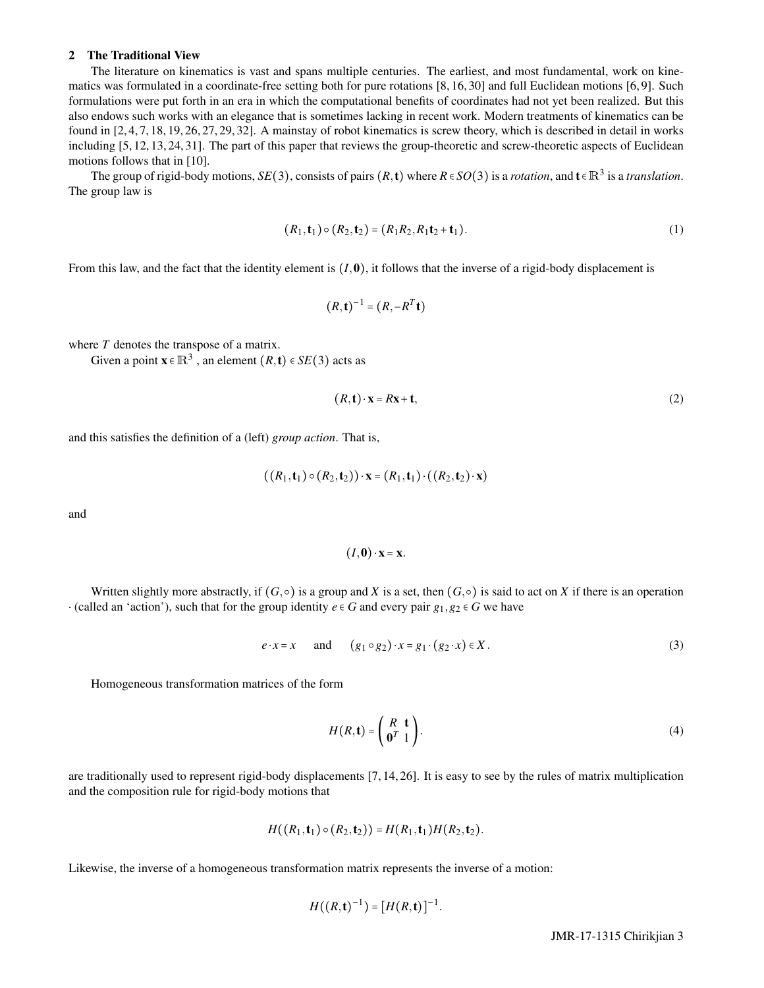## 2 The Traditional View

The literature on kinematics is vast and spans multiple centuries. The earliest, and most fundamental, work on kinematics was formulated in a coordinate-free setting both for pure rotations [8, 16, 30] and full Euclidean motions [6, 9]. Such formulations were put forth in an era in which the computational benefits of coordinates had not yet been realized. But this also endows such works with an elegance that is sometimes lacking in recent work. Modern treatments of kinematics can be found in [2, 4, 7, 18, 19, 26, 27, 29, 32]. A mainstay of robot kinematics is screw theory, which is described in detail in works including [5, 12, 13, 24, 31]. The part of this paper that reviews the group-theoretic and screw-theoretic aspects of Euclidean motions follows that in [10].

The group of rigid-body motions,  $SE(3)$ , consists of pairs  $(R, t)$  where  $R \in SO(3)$  is a *rotation*, and  $t \in \mathbb{R}^3$  is a *translation*. The group law is

$$
(R_1, \mathbf{t}_1) \circ (R_2, \mathbf{t}_2) = (R_1 R_2, R_1 \mathbf{t}_2 + \mathbf{t}_1). \tag{1}
$$

From this law, and the fact that the identity element is  $(I, 0)$ , it follows that the inverse of a rigid-body displacement is

$$
(R,\mathbf{t})^{-1}=(R,-R^T\mathbf{t})
$$

where *T* denotes the transpose of a matrix.

Given a point  $\mathbf{x} \in \mathbb{R}^3$ , an element  $(R, \mathbf{t}) \in SE(3)$  acts as

$$
(R, \mathbf{t}) \cdot \mathbf{x} = R\mathbf{x} + \mathbf{t},\tag{2}
$$

and this satisfies the definition of a (left) *group action*. That is,

$$
((R_1, t_1) \circ (R_2, t_2)) \cdot x = (R_1, t_1) \cdot ((R_2, t_2) \cdot x)
$$

and

$$
(I, \mathbf{0}) \cdot \mathbf{x} = \mathbf{x}.
$$

Written slightly more abstractly, if  $(G, \circ)$  is a group and *X* is a set, then  $(G, \circ)$  is said to act on *X* if there is an operation  $\cdot$  (called an 'action'), such that for the group identity  $e \in G$  and every pair  $g_1, g_2 \in G$  we have

$$
e \cdot x = x \quad \text{and} \quad (g_1 \circ g_2) \cdot x = g_1 \cdot (g_2 \cdot x) \in X. \tag{3}
$$

Homogeneous transformation matrices of the form

$$
H(R, \mathbf{t}) = \begin{pmatrix} R & \mathbf{t} \\ \mathbf{0}^T & 1 \end{pmatrix} . \tag{4}
$$

are traditionally used to represent rigid-body displacements [7, 14, 26]. It is easy to see by the rules of matrix multiplication and the composition rule for rigid-body motions that

$$
H((R_1, \mathbf{t}_1) \circ (R_2, \mathbf{t}_2)) = H(R_1, \mathbf{t}_1) H(R_2, \mathbf{t}_2).
$$

Likewise, the inverse of a homogeneous transformation matrix represents the inverse of a motion:

$$
H((R, t)^{-1}) = [H(R, t)]^{-1}.
$$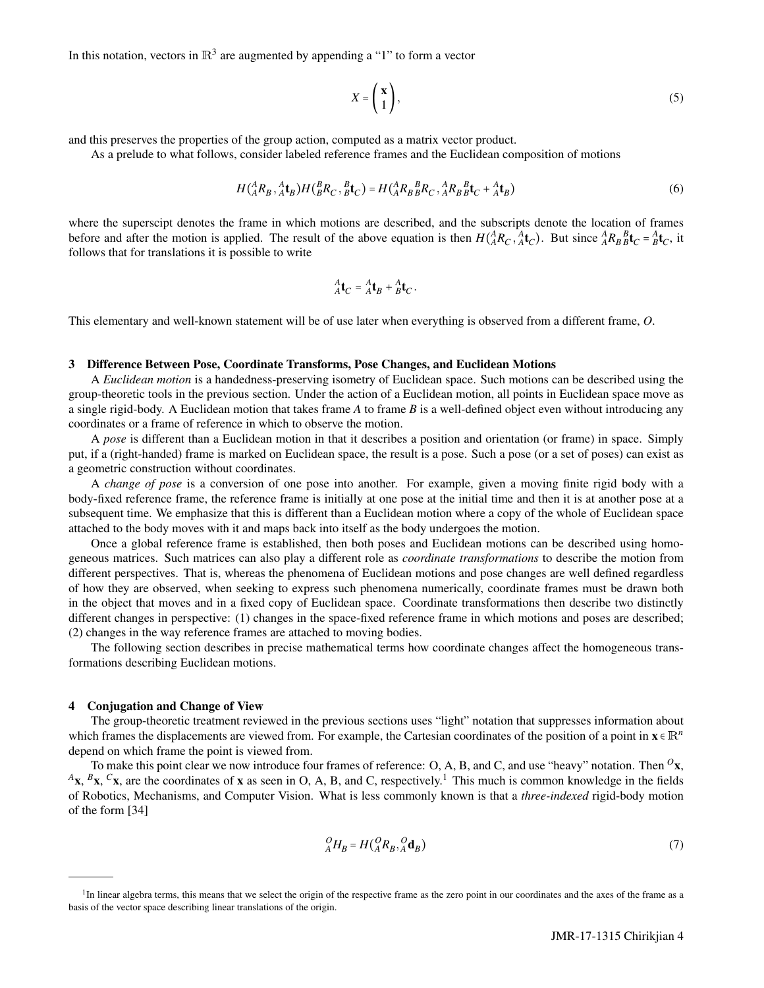In this notation, vectors in  $\mathbb{R}^3$  are augmented by appending a "1" to form a vector

$$
X = \begin{pmatrix} \mathbf{x} \\ 1 \end{pmatrix},\tag{5}
$$

and this preserves the properties of the group action, computed as a matrix vector product.

As a prelude to what follows, consider labeled reference frames and the Euclidean composition of motions

$$
H(^{A}_{A}R_{B}, ^{A}_{A}t_{B})H(^{B}_{B}R_{C}, ^{B}_{B}t_{C}) = H(^{A}_{A}R_{B}^{B}_{B}R_{C}, ^{A}_{A}R_{B}^{B}_{B}t_{C} + ^{A}_{A}t_{B})
$$
(6)

where the superscipt denotes the frame in which motions are described, and the subscripts denote the location of frames before and after the motion is applied. The result of the above equation is then  $H(A^A R_C, A^A C)$ . But since  $A^A R_B B^B C = A^A C$ , it follows that for translations it is possible to write

$$
{}^A_A\mathbf{t}_C = {}^A_A\mathbf{t}_B + {}^A_B\mathbf{t}_C.
$$

This elementary and well-known statement will be of use later when everything is observed from a different frame, *O*.

#### 3 Difference Between Pose, Coordinate Transforms, Pose Changes, and Euclidean Motions

A *Euclidean motion* is a handedness-preserving isometry of Euclidean space. Such motions can be described using the group-theoretic tools in the previous section. Under the action of a Euclidean motion, all points in Euclidean space move as a single rigid-body. A Euclidean motion that takes frame *A* to frame *B* is a well-defined object even without introducing any coordinates or a frame of reference in which to observe the motion.

A *pose* is different than a Euclidean motion in that it describes a position and orientation (or frame) in space. Simply put, if a (right-handed) frame is marked on Euclidean space, the result is a pose. Such a pose (or a set of poses) can exist as a geometric construction without coordinates.

A *change of pose* is a conversion of one pose into another. For example, given a moving finite rigid body with a body-fixed reference frame, the reference frame is initially at one pose at the initial time and then it is at another pose at a subsequent time. We emphasize that this is different than a Euclidean motion where a copy of the whole of Euclidean space attached to the body moves with it and maps back into itself as the body undergoes the motion.

Once a global reference frame is established, then both poses and Euclidean motions can be described using homogeneous matrices. Such matrices can also play a different role as *coordinate transformations* to describe the motion from different perspectives. That is, whereas the phenomena of Euclidean motions and pose changes are well defined regardless of how they are observed, when seeking to express such phenomena numerically, coordinate frames must be drawn both in the object that moves and in a fixed copy of Euclidean space. Coordinate transformations then describe two distinctly different changes in perspective: (1) changes in the space-fixed reference frame in which motions and poses are described; (2) changes in the way reference frames are attached to moving bodies.

The following section describes in precise mathematical terms how coordinate changes affect the homogeneous transformations describing Euclidean motions.

## 4 Conjugation and Change of View

The group-theoretic treatment reviewed in the previous sections uses "light" notation that suppresses information about which frames the displacements are viewed from. For example, the Cartesian coordinates of the position of a point in  $\mathbf{x} \in \mathbb{R}^n$ depend on which frame the point is viewed from.

To make this point clear we now introduce four frames of reference: O, A, B, and C, and use "heavy" notation. Then *<sup>O</sup>*x, <sup>A</sup>**x**, <sup>*B*</sup>**x**, <sup>*C*</sup>**x**, are the coordinates of **x** as seen in O, A, B, and C, respectively.<sup>1</sup> This much is common knowledge in the fields of Robotics, Mechanisms, and Computer Vision. What is less commonly known is that a *three-indexed* rigid-body motion of the form [34]

$$
{}_{A}^{O}H_{B} = H({}_{A}^{O}R_{B}, {}_{A}^{O}\mathbf{d}_{B})
$$
\n<sup>(7)</sup>

<sup>&</sup>lt;sup>1</sup>In linear algebra terms, this means that we select the origin of the respective frame as the zero point in our coordinates and the axes of the frame as a basis of the vector space describing linear translations of the origin.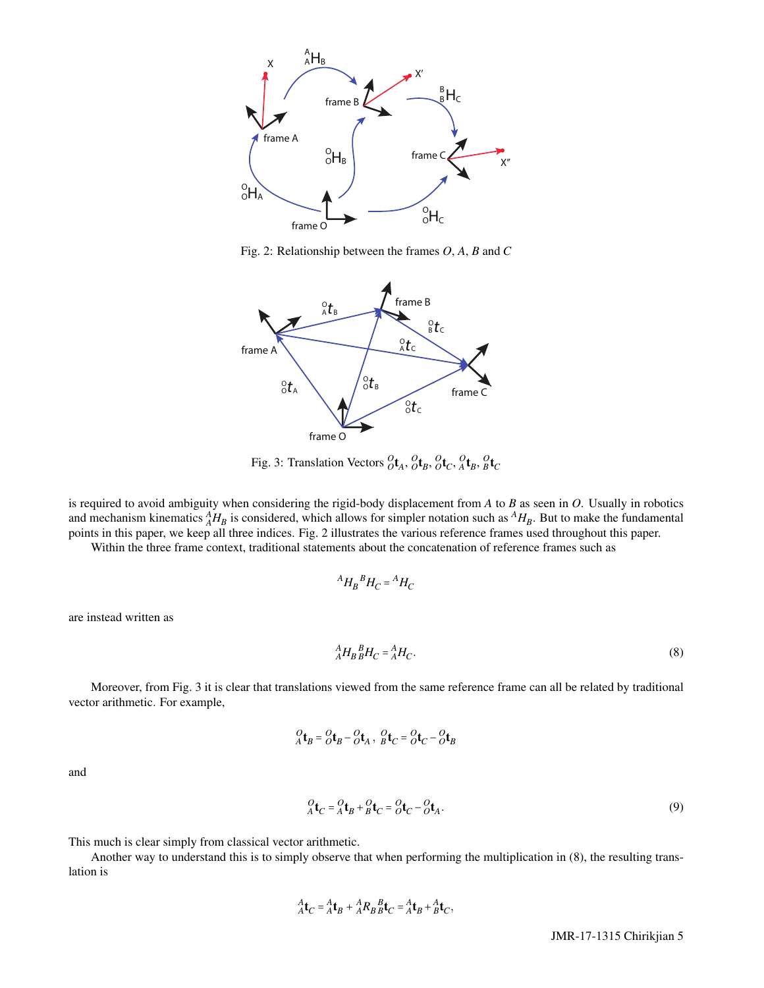

Fig. 2: Relationship between the frames *O*, *A*, *B* and *C*



Fig. 3: Translation Vectors  ${}^{O}_{O}t_A$ ,  ${}^{O}_{O}t_B$ ,  ${}^{O}_{O}t_C$ ,  ${}^{O}_{A}t_B$ ,  ${}^{O}_{B}t_C$ 

is required to avoid ambiguity when considering the rigid-body displacement from *A* to *B* as seen in *O*. Usually in robotics and mechanism kinematics  $^{A}_{A}H_{B}$  is considered, which allows for simpler notation such as  $^{A}H_{B}$ . But to make the fundamental points in this paper, we keep all three indices. Fig. 2 illustrates the various reference frames used throughout this paper.

Within the three frame context, traditional statements about the concatenation of reference frames such as

$$
{}^{A}H_{B}{}^{B}H_{C}={}^{A}H_{C}
$$

are instead written as

$$
{}_{A}^{A}H_{B}{}_{B}^{B}H_{C} = {}_{A}^{A}H_{C}.\tag{8}
$$

Moreover, from Fig. 3 it is clear that translations viewed from the same reference frame can all be related by traditional vector arithmetic. For example,

$$
{}_{A}^{O}\mathbf{t}_{B} = {}_{O}^{O}\mathbf{t}_{B} - {}_{O}^{O}\mathbf{t}_{A} , {}_{B}^{O}\mathbf{t}_{C} = {}_{O}^{O}\mathbf{t}_{C} - {}_{O}^{O}\mathbf{t}_{B}
$$

and

$$
{}_{A}^{O}t_{C} = {}_{A}^{O}t_{B} + {}_{B}^{O}t_{C} = {}_{O}^{O}t_{C} - {}_{O}^{O}t_{A}.
$$
\n
$$
(9)
$$

This much is clear simply from classical vector arithmetic.

Another way to understand this is to simply observe that when performing the multiplication in (8), the resulting translation is

$$
{}^A_A\mathbf{t}_C = {}^A_A\mathbf{t}_B + {}^A_A R_B{}^B_B\mathbf{t}_C = {}^A_A\mathbf{t}_B + {}^A_B\mathbf{t}_C,
$$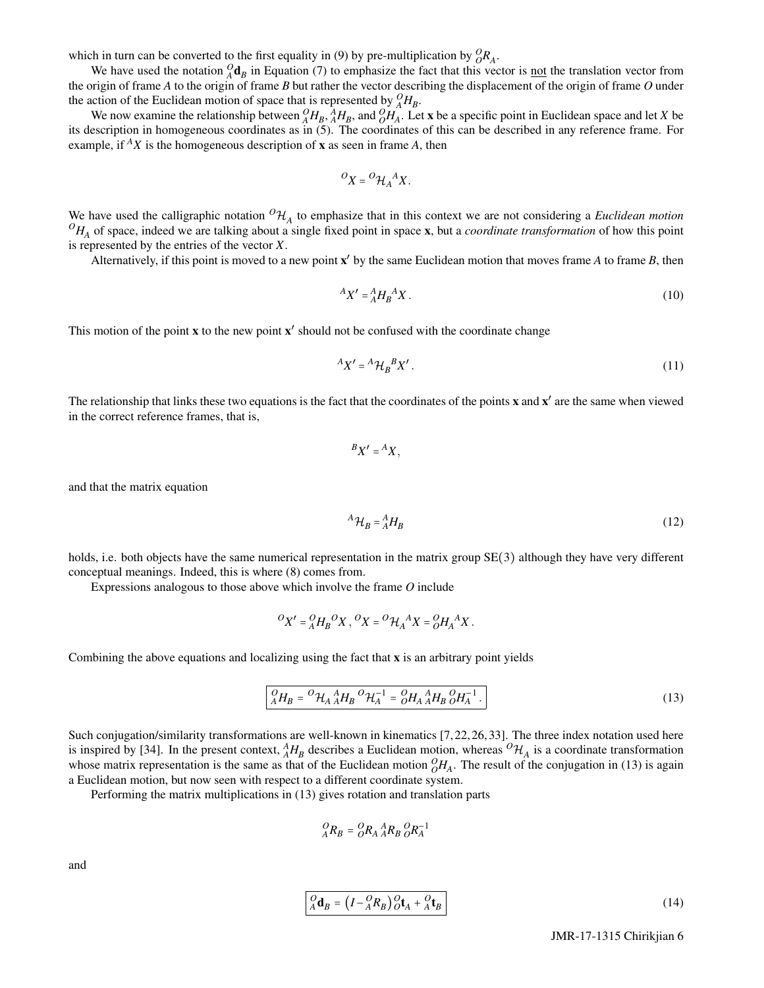which in turn can be converted to the first equality in (9) by pre-multiplication by  ${}_{O}^{O}R_{A}$ .

We have used the notation  ${}_{A}^{O}$ **d**<sub>B</sub> in Equation (7) to emphasize the fact that this vector is <u>not</u> the translation vector from the origin of frame *A* to the origin of frame *B* but rather the vector describing the displacement of the origin of frame *O* under the action of the Euclidean motion of space that is represented by  ${}_{A}^{O}H_{B}$ .

We now examine the relationship between  ${}_{A}^{O}H_{B}$ ,  ${}_{A}^{A}H_{B}$ , and  ${}_{O}^{O}H_{A}^{T}$ . Let x be a specific point in Euclidean space and let *X* be its description in homogeneous coordinates as in (5). The coordinates of this can be described in any reference frame. For example, if  $^AX$  is the homogeneous description of **x** as seen in frame A, then

$$
{}^O X = {}^O \mathcal{H}_A{}^A X.
$$

We have used the calligraphic notation  ${}^O\mathcal{H}_A$  to emphasize that in this context we are not considering a *Euclidean motion*  ${}^{O}H_A$  of space, indeed we are talking about a single fixed point in space **x**, but a *coordinate transformation* of how this point is represented by the entries of the vector *X*.

Alternatively, if this point is moved to a new point x ′ by the same Euclidean motion that moves frame *A* to frame *B*, then

$$
A X' = A H_B A X. \tag{10}
$$

This motion of the point  $x$  to the new point  $x'$  should not be confused with the coordinate change

$$
A X' = A \mathcal{H}_B B X'.
$$
\n<sup>(11)</sup>

The relationship that links these two equations is the fact that the coordinates of the points  $x$  and  $x'$  are the same when viewed in the correct reference frames, that is,

$$
{}^BX' = {}^AX,
$$

and that the matrix equation

$$
{}^{A}\mathcal{H}_{B} = {}^{A}_{A}H_{B} \tag{12}
$$

holds, i.e. both objects have the same numerical representation in the matrix group  $SE(3)$  although they have very different conceptual meanings. Indeed, this is where (8) comes from.

Expressions analogous to those above which involve the frame *O* include

$$
{}^O X' = {}^O_A H_B{}^O X \,, {}^O X = {}^O \mathcal{H}_A{}^A X = {}^O_A H_A{}^A X \,.
$$

Combining the above equations and localizing using the fact that  $x$  is an arbitrary point yields

$$
\rho_{A}^{O}H_{B} = {}^{O}\mathcal{H}_{A}{}^{A}_{A}H_{B}{}^{O}\mathcal{H}_{A}^{-1} = {}^{O}\mathcal{H}_{A}{}^{A}_{A}H_{B}{}^{O}\mathcal{H}_{A}^{-1}.
$$
\n(13)

Such conjugation/similarity transformations are well-known in kinematics [7, 22, 26, 33]. The three index notation used here is inspired by [34]. In the present context,  $^A_A H_B$  describes a Euclidean motion, whereas  $^O\mathcal{H}_A$  is a coordinate transformation whose matrix representation is the same as that of the Euclidean motion  $\partial H_A$ . The result of the conjugation in (13) is again a Euclidean motion, but now seen with respect to a different coordinate system.

Performing the matrix multiplications in (13) gives rotation and translation parts

$$
^O_A R_B = ^OOR_A \, ^A_A R_B \, ^OOR_A^{-1}
$$

and

$$
{}_{A}^{O}\mathbf{d}_{B} = \left(I - {}_{A}^{O}R_{B}\right) {}_{O}^{O}\mathbf{t}_{A} + {}_{A}^{O}\mathbf{t}_{B}
$$
\n
$$
\tag{14}
$$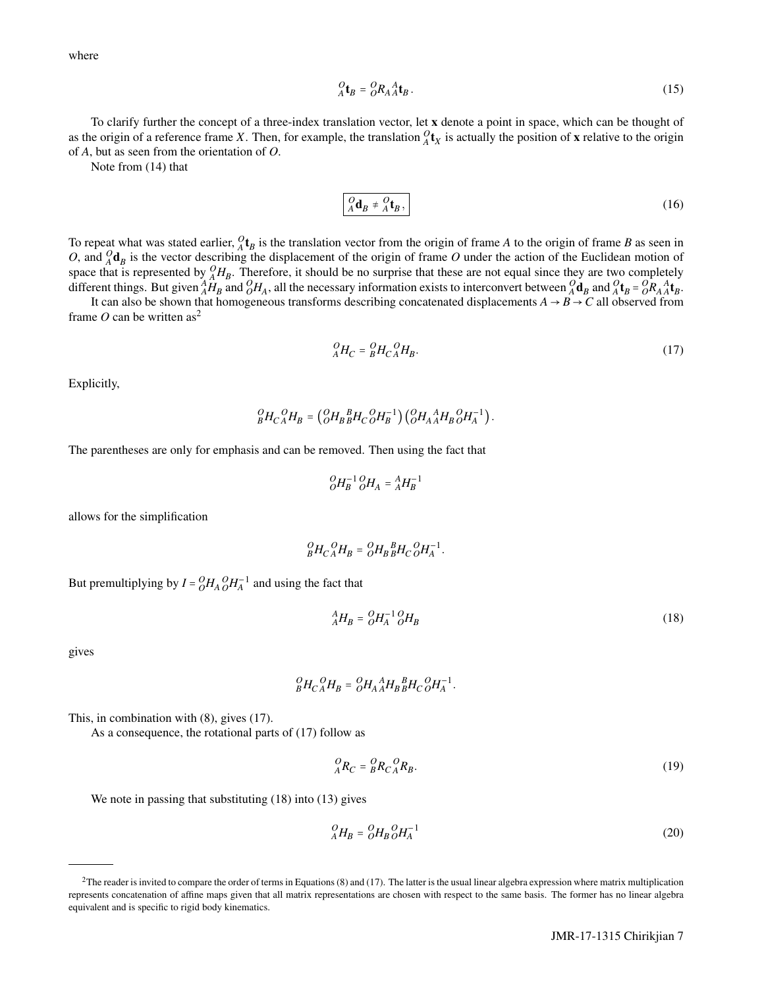where

$$
{}_{A}^{O}\mathbf{t}_{B} = {}_{O}^{O}R_{A}{}_{A}^{A}\mathbf{t}_{B}.
$$
 (15)

To clarify further the concept of a three-index translation vector, let x denote a point in space, which can be thought of as the origin of a reference frame *X*. Then, for example, the translation  ${}_{A}^{O}t_X$  is actually the position of **x** relative to the origin of *A*, but as seen from the orientation of *O*.

Note from (14) that

$$
\rho_A \mathbf{d}_B \neq {}^Q_A \mathbf{t}_B, \tag{16}
$$

To repeat what was stated earlier,  ${}_{A}^{O}t_{B}$  is the translation vector from the origin of frame *A* to the origin of frame *B* as seen in *O*, and  $_A^O$ **d**<sub>*B*</sub> is the vector describing the displacement of the origin of frame *O* under the action of the Euclidean motion of space that is represented by  ${}_{A}^{O}H_{B}$ . Therefore, it should be no surprise that these are not equal since they are two completely different things. But given  ${}_{A}^{A}\dot{H}_{B}$  and  ${}_{O}^{O}H_{A}$ , all the necessary information exists to interconvert between  ${}_{A}^{O}\mathbf{d}_{B}$  and  ${}_{A}^{O}\mathbf{t}_{B} = {}_{O}^{O}R_{A}{}_{A}{}_{A}{}_{B}$ .

It can also be shown that homogeneous transforms describing concatenated displacements  $A \to B \to C$  all observed from frame *O* can be written as<sup>2</sup>

$$
{}_{A}^{O}H_{C} = {}_{B}^{O}H_{C} {}_{A}^{O}H_{B}. \tag{17}
$$

Explicitly,

$$
_{B}^{O}H_{C\,A}^{O}H_{B}=\left( _{O}^{O}H_{B\,B}^{~~B}H_{C\,O}^{~~O}H_{B}^{-1}\right) \left( _{O}^{O}H_{A\,A}^{~~A}H_{B\,O}^{~~O}H_{A}^{-1}\right) .
$$

The parentheses are only for emphasis and can be removed. Then using the fact that

$$
^O_O\!H_B^{-1}\,^O_O\!H_A = ^A_A\!H_B^{-1}
$$

allows for the simplification

$$
{}_{B}^{O}H_{C\,A}^{O}H_{B} = {}_{O}^{O}H_{B\,B}^{B}H_{C\,O}^{O}H_{A}^{-1}.
$$

But premultiplying by  $I = {}_{O}^{O}H_{A} {}_{O}^{O}H_{A}^{-1}$  and using the fact that

$$
{}_{A}^{A}H_{B} = {}_{O}^{O}H_{A}^{-1} {}_{O}^{O}H_{B}
$$
\n
$$
\tag{18}
$$

gives

$$
{}^{\mathcal{O}}_B H_C{}^{\mathcal{O}}_A H_B = {}^{\mathcal{O}}_C H_A{}^A_A H_B{}^B_B H_C{}^{\mathcal{O}}_O H_A^{-1}.
$$

This, in combination with (8), gives (17).

As a consequence, the rotational parts of (17) follow as

$$
{}_{A}^{O}R_{C} = {}_{B}^{O}R_{C} {}_{A}^{O}R_{B}. \tag{19}
$$

We note in passing that substituting (18) into (13) gives

$$
^O_A H_B = ^O_O H_B ^O H_A^{-1}
$$
\n
$$
(20)
$$

 ${}^{2}$ The reader is invited to compare the order of terms in Equations (8) and (17). The latter is the usual linear algebra expression where matrix multiplication represents concatenation of affine maps given that all matrix representations are chosen with respect to the same basis. The former has no linear algebra equivalent and is specific to rigid body kinematics.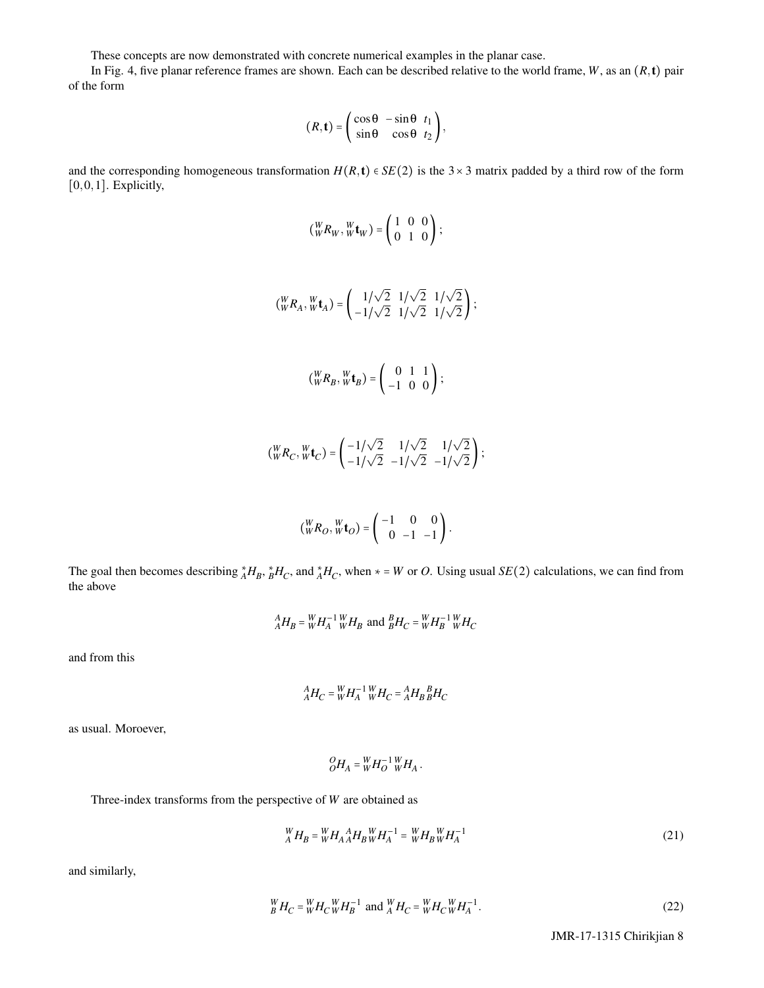These concepts are now demonstrated with concrete numerical examples in the planar case.

In Fig. 4, five planar reference frames are shown. Each can be described relative to the world frame, *W*, as an (*R*,t) pair of the form

$$
(R, \mathbf{t}) = \begin{pmatrix} \cos \theta & -\sin \theta & t_1 \\ \sin \theta & \cos \theta & t_2 \end{pmatrix},
$$

and the corresponding homogeneous transformation  $H(R, t) \in SE(2)$  is the 3×3 matrix padded by a third row of the form  $[0,0,1]$ . Explicitly,

$$
\left(\begin{matrix}W \\ W\end{matrix}\begin{matrix}W \\ W\end{matrix}\begin{matrix}W \\ W\end{matrix}\begin{matrix}W \\ W\end{matrix}\right) = \left(\begin{matrix}1 & 0 & 0 \\ 0 & 1 & 0\end{matrix}\right) ;
$$

$$
\left(\, {}_{W}^{W}R_{A}, {}_{W}^{W}\mathbf{t}_{A}\right)=\left(\begin{array}{cc} 1/\sqrt{2} & 1/\sqrt{2} & 1/\sqrt{2} \\ -1/\sqrt{2} & 1/\sqrt{2} & 1/\sqrt{2} \end{array}\right);
$$

$$
\left(\,W_{W}^{W}R_{B},\,W_{W}^{W}\mathbf{t}_{B}\right)=\left(\begin{array}{ccc}0&1&1\\-1&0&0\end{array}\right);
$$

$$
\left(\, _{W}^{W}R_{C}, {}^{W}_{W}\mathbf{t}_{C}\right) = \left(\, _{-1/\sqrt{2}}^{-1/\sqrt{2}} \quad _{-1/\sqrt{2}}^{-1/\sqrt{2}} \right);
$$

$$
\left(\begin{matrix}W_R\end{matrix}\right)_{W}W_{Q}=\begin{pmatrix}-1&0&0\\0&-1&-1\end{pmatrix}.
$$

The goal then becomes describing  $_A^*H_B$ ,  $_B^*H_C$ , and  $_A^*H_C$ , when  $* = W$  or *O*. Using usual *SE*(2) calculations, we can find from the above

$$
^{A}_{A}H_{B} = ^{W}_{W}H_{A}^{-1} {}^{W}_{W}H_{B}
$$
 and  $^{B}_{B}H_{C} = ^{W}_{W}H_{B}^{-1} {}^{W}_{W}H_{C}$ 

and from this

$$
{}_{A}^{A}H_{C} = {}_{W}^{W}H_{A}^{-1} {}_{W}^{W}H_{C} = {}_{A}^{A}H_{B} {}_{B}^{B}H_{C}
$$

as usual. Moroever,

$$
{}^{\mathcal{O}}_{{\mathcal{O}}}H_A = {}^W_W H_O^{-1} {}^W_W H_A.
$$

Three-index transforms from the perspective of *W* are obtained as

$$
{}_{A}^{W}H_{B} = {}_{W}^{W}H_{A} {}_{A}^{A}H_{B} {}_{W}^{W}H_{A}^{-1} = {}_{W}^{W}H_{B} {}_{W}^{W}H_{A}^{-1}
$$
\n(21)

and similarly,

$$
{}_{B}^{W}H_{C} = {}_{W}^{W}H_{C} {}_{W}^{W}H_{B}^{-1} \text{ and } {}_{A}^{W}H_{C} = {}_{W}^{W}H_{C} {}_{W}^{W}H_{A}^{-1}.
$$
 (22)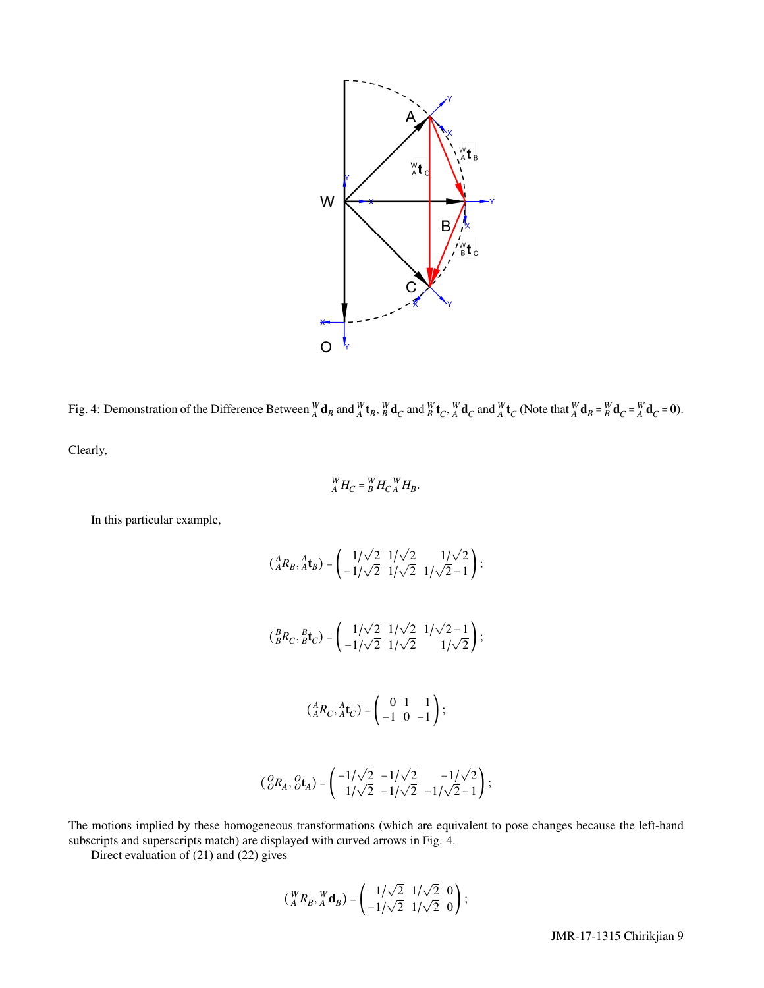

Fig. 4: Demonstration of the Difference Between  ${}^W_A\mathbf{d}_B$  and  ${}^W_A\mathbf{t}_B$ ,  ${}^W_B\mathbf{d}_C$  and  ${}^W_B\mathbf{t}_C$ ,  ${}^W_A\mathbf{d}_C$  and  ${}^W_A\mathbf{t}_C$  (Note that  ${}^W_A\mathbf{d}_B = {}^W_B\mathbf{d}_C = {}^W_A\mathbf{d}_C = \mathbf{0}$ ).

Clearly,

$$
{}_{A}^{W}H_{C} = {}_{B}^{W}H_{C} {}_{A}^{W}H_{B}.
$$

In this particular example,

$$
\begin{aligned} \left(\,_{A}^{A}R_{B}, \,_{A}^{A}\mathbf{t}_{B}\right) &= \left(\begin{array}{cc} 1/\sqrt{2} & 1/\sqrt{2} & 1/\sqrt{2} \\ -1/\sqrt{2} & 1/\sqrt{2} & 1/\sqrt{2} - 1 \end{array}\right); \\ \left(\,_{B}^{B}R_{C}, \,_{B}^{B}\mathbf{t}_{C}\right) &= \left(\begin{array}{cc} 1/\sqrt{2} & 1/\sqrt{2} & 1/\sqrt{2} - 1 \\ -1/\sqrt{2} & 1/\sqrt{2} & 1/\sqrt{2} \end{array}\right); \\ \left(\,_{A}^{A}R_{C}, \,_{A}^{A}\mathbf{t}_{C}\right) &= \left(\begin{array}{cc} 0 & 1 & 1 \\ -1 & 0 & -1 \end{array}\right); \end{aligned}
$$

$$
\begin{pmatrix} \mathcal{O}_{R_A}, \mathcal{O}_{\mathbf{t}_A} \end{pmatrix} = \begin{pmatrix} -1/\sqrt{2} & -1/\sqrt{2} & -1/\sqrt{2} \\ 1/\sqrt{2} & -1/\sqrt{2} & -1/\sqrt{2}-1 \end{pmatrix};
$$

The motions implied by these homogeneous transformations (which are equivalent to pose changes because the left-hand subscripts and superscripts match) are displayed with curved arrows in Fig. 4.

Direct evaluation of (21) and (22) gives

$$
\begin{pmatrix} W & R_B & W \\ A & R_B & A \end{pmatrix} = \begin{pmatrix} 1/\sqrt{2} & 1/\sqrt{2} & 0 \\ -1/\sqrt{2} & 1/\sqrt{2} & 0 \end{pmatrix};
$$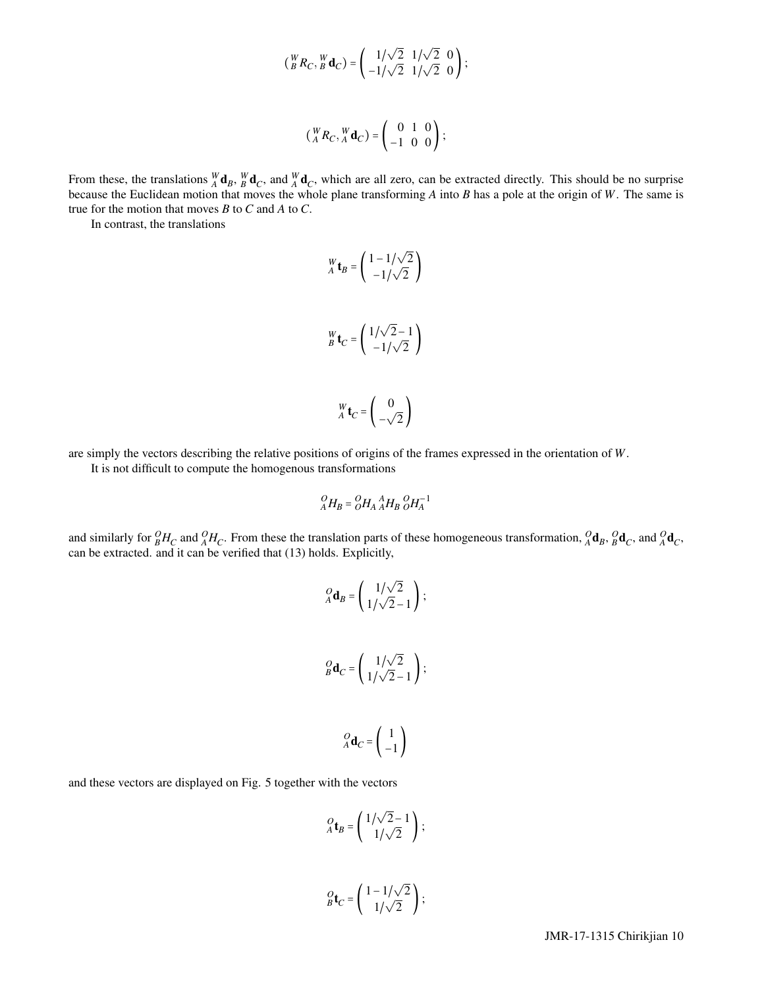$$
\left(\begin{smallmatrix} W & R \\ B & R & C \end{smallmatrix}, \begin{smallmatrix} W & \mathbf{d} \\ B & C \end{smallmatrix}\right) = \begin{pmatrix} 1/\sqrt{2} & 1/\sqrt{2} & 0 \\ -1/\sqrt{2} & 1/\sqrt{2} & 0 \end{pmatrix};
$$

$$
\begin{pmatrix} W & R \\ A & R & A \end{pmatrix} \mathbf{d}_C = \begin{pmatrix} 0 & 1 & 0 \\ -1 & 0 & 0 \end{pmatrix};
$$

From these, the translations  ${}^W_A \mathbf{d}_B$ ,  ${}^W_B \mathbf{d}_C$ , and  ${}^W_A \mathbf{d}_C$ , which are all zero, can be extracted directly. This should be no surprise because the Euclidean motion that moves the whole plane transforming *A* into *B* has a pole at the origin of *W*. The same is true for the motion that moves *B* to *C* and *A* to *C*.

In contrast, the translations

$$
W_{A} \mathbf{t}_{B} = \begin{pmatrix} 1 - 1/\sqrt{2} \\ -1/\sqrt{2} \end{pmatrix}
$$
  

$$
W_{B} \mathbf{t}_{C} = \begin{pmatrix} 1/\sqrt{2} - 1 \\ -1/\sqrt{2} \end{pmatrix}
$$
  

$$
W_{A} \mathbf{t}_{C} = \begin{pmatrix} 0 \\ -\sqrt{2} \end{pmatrix}
$$

are simply the vectors describing the relative positions of origins of the frames expressed in the orientation of *W*. It is not difficult to compute the homogenous transformations

$$
^O_A H_B = ^O_O H_A \, ^A_A H_B \, ^O_O H_A^{-1}
$$

and similarly for  ${}_{B}^{O}H_{C}$  and  ${}_{A}^{O}H_{C}$ . From these the translation parts of these homogeneous transformation,  ${}_{A}^{O}d_{B}$ ,  ${}_{B}^{O}d_{C}$ , and  ${}_{A}^{O}d_{C}$ , can be extracted. and it can be verified that (13) holds. Explicitly,

$$
{}_{A}^{O} \mathbf{d}_{B} = \begin{pmatrix} 1/\sqrt{2} \\ 1/\sqrt{2} - 1 \end{pmatrix};
$$
  

$$
{}_{B}^{O} \mathbf{d}_{C} = \begin{pmatrix} 1/\sqrt{2} \\ 1/\sqrt{2} - 1 \end{pmatrix};
$$

$$
{}_{A}^{O}\mathbf{d}_{C}=\left(\begin{array}{c}1\\-1\end{array}\right)
$$

and these vectors are displayed on Fig. 5 together with the vectors

$$
Q_{A} \mathbf{t}_{B} = \begin{pmatrix} 1/\sqrt{2} - 1 \\ 1/\sqrt{2} \end{pmatrix};
$$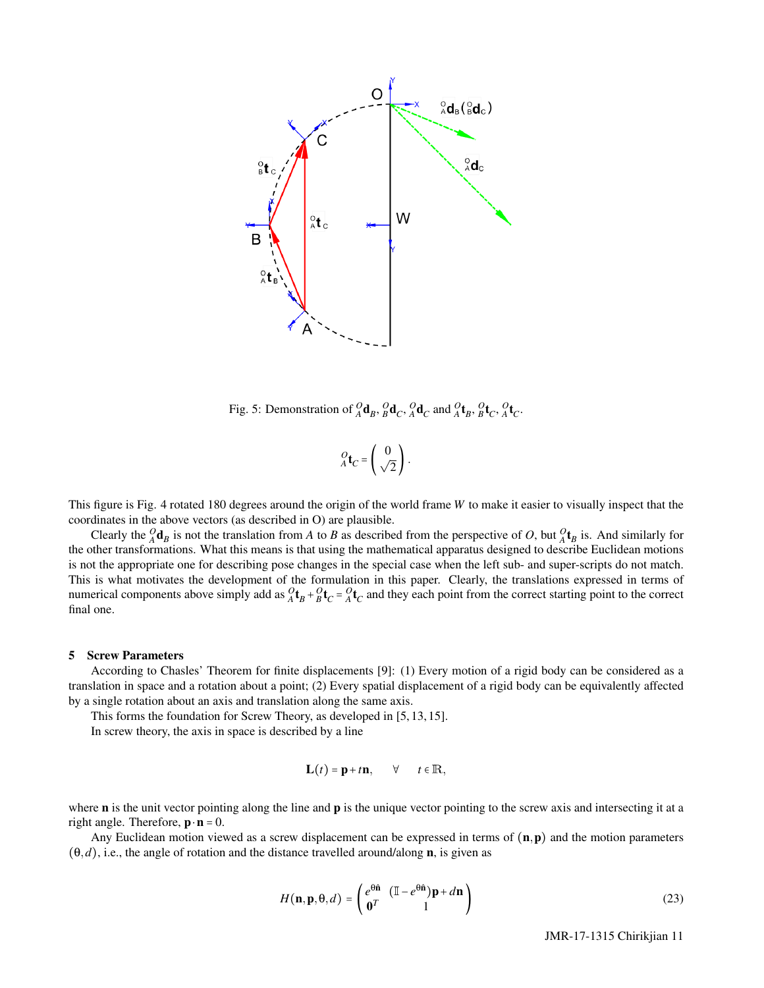

Fig. 5: Demonstration of  ${}_{A}^{O}$ **d**<sub>*B*</sub>,  ${}_{B}^{O}$ **d**<sub>*C*</sub>,  ${}_{A}^{O}$ **d**<sub>*C*</sub> and  ${}_{A}^{O}$ **t**<sub>*B*</sub>,  ${}_{B}^{O}$ **t**<sub>*C*</sub>,  ${}_{A}^{O}$ **t**<sub>*C*</sub>.

$$
{}_{A}^{O}\mathbf{t}_{C}=\left(\begin{array}{c} 0\\ \sqrt{2} \end{array}\right).
$$

This figure is Fig. 4 rotated 180 degrees around the origin of the world frame *W* to make it easier to visually inspect that the coordinates in the above vectors (as described in O) are plausible.

Clearly the  ${}_{A}^{O}$ **d**<sub>*B*</sub> is not the translation from *A* to *B* as described from the perspective of *O*, but  ${}_{A}^{O}$ **t**<sub>*B*</sub> is. And similarly for the other transformations. What this means is that using the mathematical apparatus designed to describe Euclidean motions is not the appropriate one for describing pose changes in the special case when the left sub- and super-scripts do not match. This is what motivates the development of the formulation in this paper. Clearly, the translations expressed in terms of numerical components above simply add as  ${}_{A}^{O}$ **t**<sub>*B*</sub> +  ${}_{B}^{O}$ **t**<sub>*C*</sub> =  ${}_{A}^{O}$ **t**<sub>*C*</sub> and they each point from the correct starting point to the correct final one.

### 5 Screw Parameters

According to Chasles' Theorem for finite displacements [9]: (1) Every motion of a rigid body can be considered as a translation in space and a rotation about a point; (2) Every spatial displacement of a rigid body can be equivalently affected by a single rotation about an axis and translation along the same axis.

This forms the foundation for Screw Theory, as developed in [5, 13, 15]. In screw theory, the axis in space is described by a line

$$
\mathbf{L}(t) = \mathbf{p} + t\mathbf{n}, \qquad \forall \qquad t \in \mathbb{R},
$$

where **n** is the unit vector pointing along the line and **p** is the unique vector pointing to the screw axis and intersecting it at a right angle. Therefore,  $\mathbf{p} \cdot \mathbf{n} = 0$ .

Any Euclidean motion viewed as a screw displacement can be expressed in terms of  $(n, p)$  and the motion parameters  $(\theta, d)$ , i.e., the angle of rotation and the distance travelled around/along **n**, is given as

$$
H(\mathbf{n}, \mathbf{p}, \theta, d) = \begin{pmatrix} e^{\theta \hat{\mathbf{n}}} & (\mathbb{I} - e^{\theta \hat{\mathbf{n}}}) \mathbf{p} + d\mathbf{n} \\ \mathbf{0}^T & 1 \end{pmatrix}
$$
(23)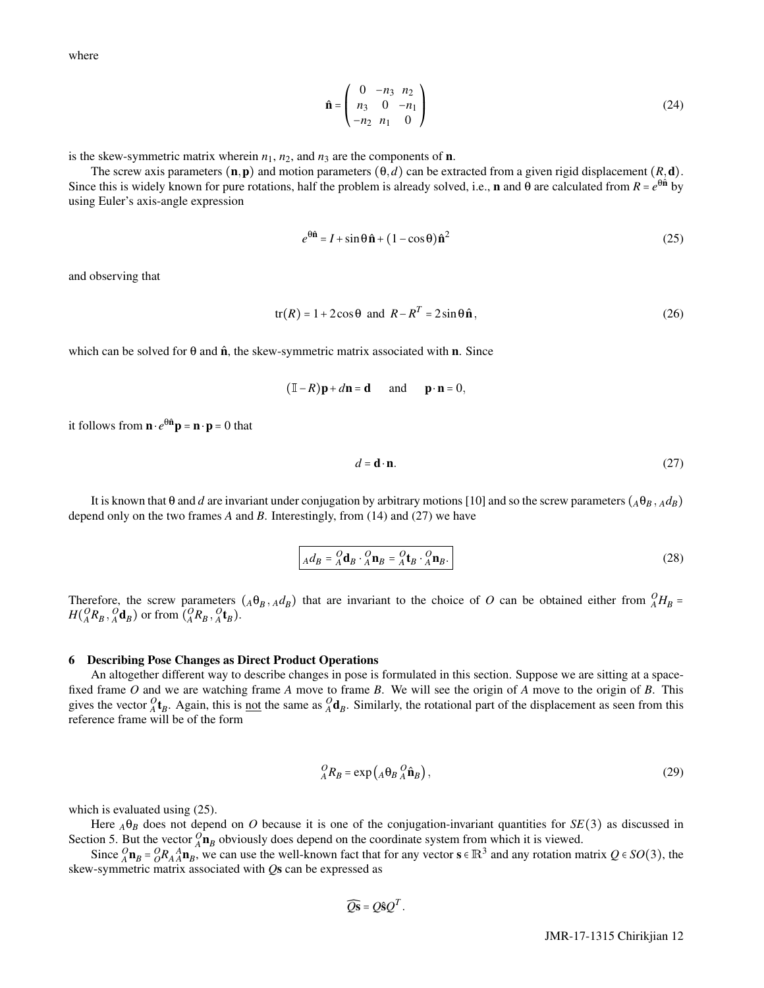where

$$
\hat{\mathbf{n}} = \begin{pmatrix} 0 & -n_3 & n_2 \\ n_3 & 0 & -n_1 \\ -n_2 & n_1 & 0 \end{pmatrix}
$$
 (24)

is the skew-symmetric matrix wherein  $n_1$ ,  $n_2$ , and  $n_3$  are the components of **n**.

The screw axis parameters  $(n, p)$  and motion parameters  $(\theta, d)$  can be extracted from a given rigid displacement  $(R, d)$ . Since this is widely known for pure rotations, half the problem is already solved, i.e., **n** and  $\theta$  are calculated from  $R = e^{\theta \hat{\bf{n}}}$  by using Euler's axis-angle expression

$$
e^{\theta \hat{\mathbf{n}}}=I+\sin\theta \hat{\mathbf{n}}+(1-\cos\theta)\hat{\mathbf{n}}^2
$$
\n(25)

and observing that

$$
tr(R) = 1 + 2\cos\theta \text{ and } R - R^T = 2\sin\theta \hat{\mathbf{n}},
$$
\n(26)

which can be solved for  $\theta$  and  $\hat{\bf{n}}$ , the skew-symmetric matrix associated with **n**. Since

$$
(\mathbb{I}-R)\mathbf{p} + d\mathbf{n} = \mathbf{d}
$$
 and  $\mathbf{p} \cdot \mathbf{n} = 0$ ,

it follows from  $\mathbf{n} \cdot e^{\theta \hat{\mathbf{n}}} \mathbf{p} = \mathbf{n} \cdot \mathbf{p} = 0$  that

$$
d = \mathbf{d} \cdot \mathbf{n}.\tag{27}
$$

It is known that θ and *d* are invariant under conjugation by arbitrary motions [10] and so the screw parameters ( $A$ θ $B$ ,  $A$  $d$ B) depend only on the two frames *A* and *B*. Interestingly, from (14) and (27) we have

$$
_{A}d_{B} = {}_{A}^{O} \mathbf{d}_{B} \cdot {}_{A}^{O} \mathbf{n}_{B} = {}_{A}^{O} \mathbf{t}_{B} \cdot {}_{A}^{O} \mathbf{n}_{B}. \tag{28}
$$

Therefore, the screw parameters  $(A\theta_B, Ad_B)$  that are invariant to the choice of *O* can be obtained either from  $^Q H_B$  =  $H(_{A}^{O}R_{B}, \, _{A}^{O}\mathbf{d}_{B})$  or from  $(_{A}^{O}R_{B}, \, _{A}^{O}\mathbf{t}_{B})$ .

#### 6 Describing Pose Changes as Direct Product Operations

An altogether different way to describe changes in pose is formulated in this section. Suppose we are sitting at a spacefixed frame *O* and we are watching frame *A* move to frame *B*. We will see the origin of *A* move to the origin of *B*. This gives the vector  ${}^O_A\mathbf{t}_B$ . Again, this is <u>not</u> the same as  ${}^O_A\mathbf{d}_B$ . Similarly, the rotational part of the displacement as seen from this reference frame will be of the form

$$
{}_{A}^{O}R_{B} = \exp\left(A\Theta_{B}{}_{A}^{O}\hat{\mathbf{n}}_{B}\right),\tag{29}
$$

which is evaluated using (25).

Here  $_A\theta_B$  does not depend on *O* because it is one of the conjugation-invariant quantities for *SE*(3) as discussed in Section 5. But the vector  ${}_{A}^{O}$ **n**<sub>B</sub> obviously does depend on the coordinate system from which it is viewed.

Since  ${}_{A}^{O}$ **n**<sub>B</sub> =  ${}_{O}^{O}$ **R**<sub>A</sub><sup>A</sup>**n**<sub>B</sub>, we can use the well-known fact that for any vector **s**  $\in \mathbb{R}^3$  and any rotation matrix  $Q \in SO(3)$ , the skew-symmetric matrix associated with *Q*s can be expressed as

$$
\widehat{Qs} = Q\hat{s}Q^T.
$$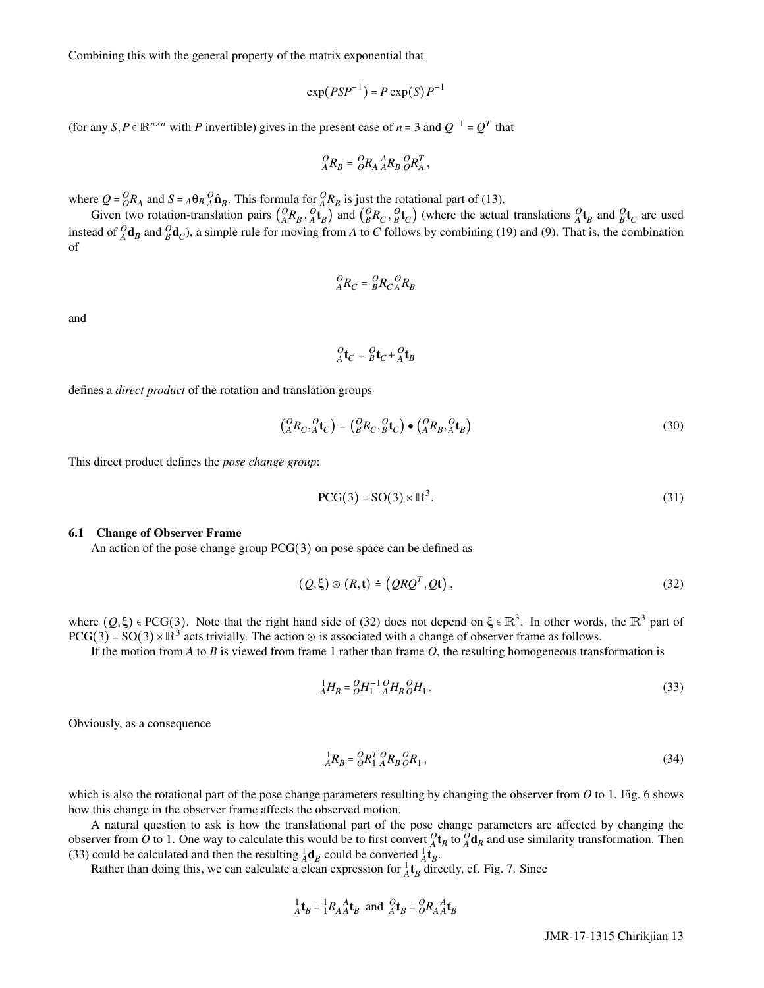Combining this with the general property of the matrix exponential that

$$
\exp(PSP^{-1}) = P \exp(S) P^{-1}
$$

(for any  $S, P \in \mathbb{R}^{n \times n}$  with *P* invertible) gives in the present case of *n* = 3 and  $Q^{-1} = Q^{T}$  that

$$
^O_A R_B = ^OOR_A \, ^A_A R_B \, ^O_{} R_A^T \,,
$$

where  $Q = {}_{O}^{O}R_{A}$  and  $S = {}_{A}^{O}P_{B}$   ${}_{A}^{O}P_{B}$ . This formula for  ${}_{A}^{O}R_{B}$  is just the rotational part of (13).

Given two rotation-translation pairs  $\binom{O}{A}R_B$ ,  $\binom{O}{A}t_B$  and  $\binom{O}{B}R_C$ ,  $\binom{O}{B}t_C$  (where the actual translations  $\binom{O}{A}t_B$  and  $\frac{O}{B}t_C$  are used instead of  ${}_{A}^{O}$ **d**<sub>*B*</sub> and  ${}_{B}^{O}$ **d**<sub>*C*</sub>), a simple rule for moving from *A* to *C* follows by combining (19) and (9). That is, the combination of

$$
{}_{A}^{O}R_{C} = {}_{B}^{O}R_{C} {}_{A}^{O}R_{B}
$$

and

$$
{}_{A}^{O}\mathbf{t}_{C} = {}_{B}^{O}\mathbf{t}_{C} + {}_{A}^{O}\mathbf{t}_{B}
$$

defines a *direct product* of the rotation and translation groups

$$
\begin{pmatrix}\nO_R C,\nO_4 t_C\n\end{pmatrix} =\n\begin{pmatrix}\nO_R C,\nO_4 t_C\n\end{pmatrix} \bullet\n\begin{pmatrix}\nO_R B,\nO_4 t_B\n\end{pmatrix}
$$
\n(30)

This direct product defines the *pose change group*:

$$
PCG(3) = SO(3) \times \mathbb{R}^3. \tag{31}
$$

## 6.1 Change of Observer Frame

An action of the pose change group  $PCG(3)$  on pose space can be defined as

$$
(Q,\xi) \odot (R,\mathbf{t}) \doteq (QRQ^{T}, Qt), \qquad (32)
$$

where  $(Q,\xi) \in PCG(3)$ . Note that the right hand side of (32) does not depend on  $\xi \in \mathbb{R}^3$ . In other words, the  $\mathbb{R}^3$  part of  $PCG(3) = SO(3) \times \mathbb{R}^3$  acts trivially. The action  $\odot$  is associated with a change of observer frame as follows.

If the motion from *A* to *B* is viewed from frame 1 rather than frame *O*, the resulting homogeneous transformation is

$$
{}_{A}^{1}H_{B} = {}_{O}^{O}H_{1}^{-1} {}_{A}^{O}H_{B} {}_{O}^{O}H_{1} .
$$
\n(33)

Obviously, as a consequence

$$
{}_{A}^{1}R_{B} = {}_{O}^{O}R_{1}^{T} {}_{A}^{O}R_{B} {}_{O}^{O}R_{1}, \qquad (34)
$$

which is also the rotational part of the pose change parameters resulting by changing the observer from *O* to 1. Fig. 6 shows how this change in the observer frame affects the observed motion.

A natural question to ask is how the translational part of the pose change parameters are affected by changing the observer from *O* to 1. One way to calculate this would be to first convert  $_A^O$  **t**<sub>*B*</sub> to  $_A^O$ **d**<sub>*B*</sub> and use similarity transformation. Then (33) could be calculated and then the resulting  $^{1}_{A}$ **d**<sub>*B*</sub> could be converted  $^{1}_{A}$ **t**<sub>*B*</sub>.

Rather than doing this, we can calculate a clean expression for  ${}^1_A t_B$  directly, cf. Fig. 7. Since

$$
{}_{A}^{1}\mathbf{t}_{B} = {}_{1}^{1}R_{A}{}_{A}^{A}\mathbf{t}_{B} \text{ and } {}_{A}^{O}\mathbf{t}_{B} = {}_{O}^{O}R_{A}{}_{A}^{A}\mathbf{t}_{B}
$$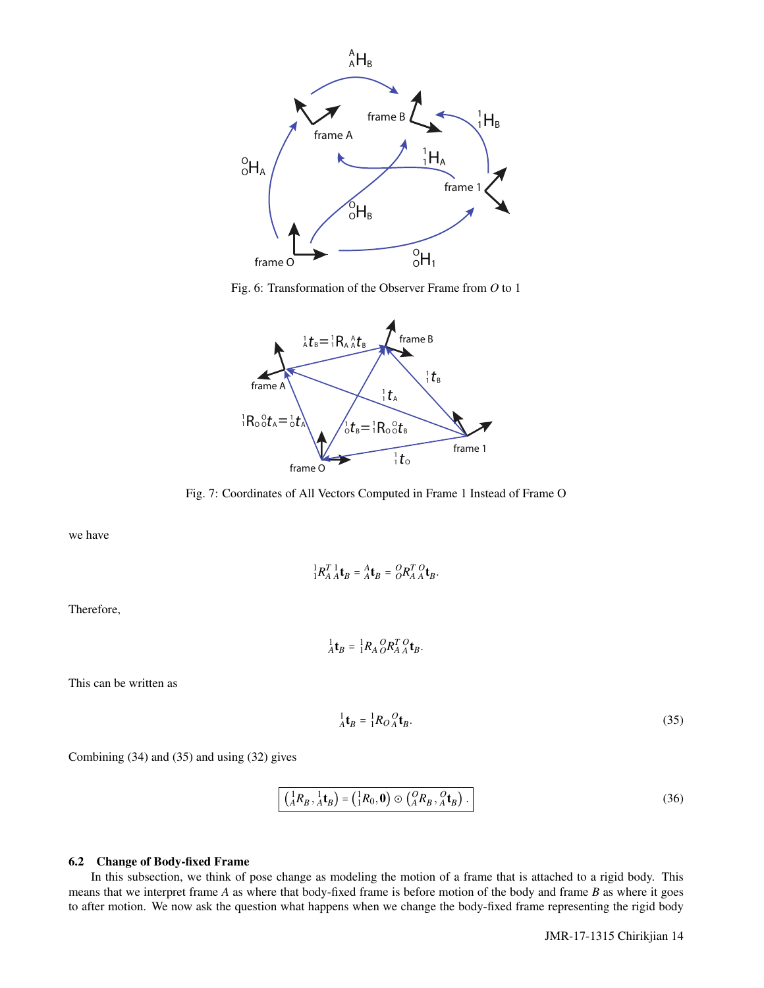





Fig. 7: Coordinates of All Vectors Computed in Frame 1 Instead of Frame O

we have

$$
\frac{1}{4}R_A^T \frac{1}{4} \mathbf{t}_B = \frac{A}{A} \mathbf{t}_B = \frac{O}{O} R_A^T \frac{O}{A} \mathbf{t}_B.
$$

Therefore,

 ${}_{A}^{1}\mathbf{t}_{B} = {}_{1}^{1}R_{A}{}_{O}^{O}R_{A}^{T}{}_{A}^{O}\mathbf{t}_{B}.$ 

This can be written as

$$
\frac{1}{A}\mathbf{t}_B = \frac{1}{1}R_O \frac{O}{A}\mathbf{t}_B. \tag{35}
$$

Combining (34) and (35) and using (32) gives

$$
\left(\frac{1}{A}R_B, \frac{1}{A}\mathbf{t}_B\right) = \left(\frac{1}{1}R_0, \mathbf{0}\right) \odot \left(\frac{O}{A}R_B, \frac{O}{A}\mathbf{t}_B\right). \tag{36}
$$

# 6.2 Change of Body-fixed Frame

In this subsection, we think of pose change as modeling the motion of a frame that is attached to a rigid body. This means that we interpret frame *A* as where that body-fixed frame is before motion of the body and frame *B* as where it goes to after motion. We now ask the question what happens when we change the body-fixed frame representing the rigid body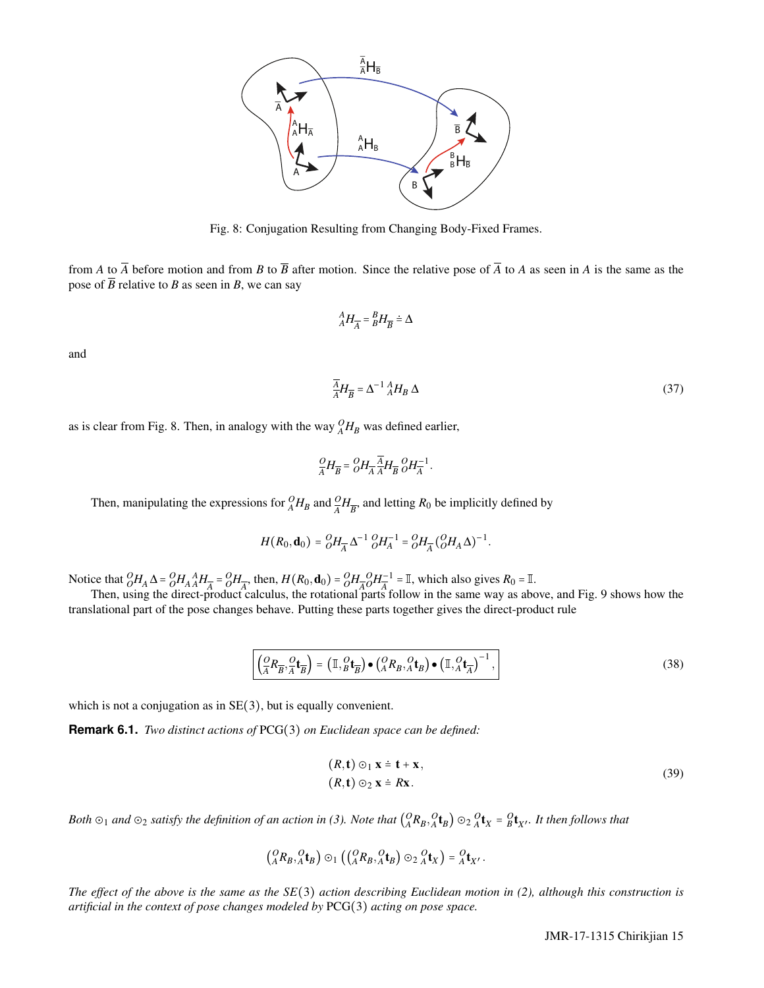

Fig. 8: Conjugation Resulting from Changing Body-Fixed Frames.

from *A* to  $\overline{A}$  before motion and from *B* to  $\overline{B}$  after motion. Since the relative pose of  $\overline{A}$  to *A* as seen in *A* is the same as the pose of  $\overline{B}$  relative to *B* as seen in *B*, we can say

$$
{}^{A}_{A}H_{\overline{A}} = {}^{B}_{B}H_{\overline{B}} \doteq \Delta
$$

and

$$
\overline{A}_{A}^{A}H_{\overline{B}} = \Delta^{-1}{}_{A}^{A}H_{B}\,\Delta\tag{37}
$$

as is clear from Fig. 8. Then, in analogy with the way  $^{O}_{A}H_{B}$  was defined earlier,

$$
\frac{O}{A}H_{\overline{B}} = \frac{O}{O}H_{\overline{A}} \frac{\overline{A}}{A}H_{\overline{B}} \frac{O}{O}H_{\overline{A}}^{-1}
$$

.

Then, manipulating the expressions for  ${}_{A}^{O}H_{B}$  and  ${}_{A}^{O}H_{\overline{B}}$ , and letting  $R_0$  be implicitly defined by

$$
H(R_0, \mathbf{d}_0) = {}_{O}^{O}H_{\overline{A}} \Delta^{-1} {}_{O}^{O}H_{A}^{-1} = {}_{O}^{O}H_{\overline{A}} ({}_{O}^{O}H_A \Delta)^{-1}.
$$

Notice that  $\frac{\partial H_A}{\partial H_A} \Delta = \frac{\partial H_A}{\partial H_A} H_{\overline{A}} = \frac{\partial H_{\overline{A}}}{\partial H_{\overline{A}}}$ , then,  $H(R_0, \mathbf{d}_0) = \frac{\partial H_{\overline{A}}}{\partial H_{\overline{A}}}$  $O<sub>A</sub>$ <sup>-1</sup>  $\frac{A}{A} = \mathbb{I}$ , which also gives  $R_0 = \mathbb{I}$ .

Then, using the direct-product calculus, the rotational parts follow in the same way as above, and Fig. 9 shows how the translational part of the pose changes behave. Putting these parts together gives the direct-product rule

$$
\left(\frac{\mathcal{O}}{A}R_{\overline{B}}, \frac{\mathcal{O}}{A}\mathbf{t}_{\overline{B}}\right) = \left(\mathbb{I}, \frac{\mathcal{O}}{B}\mathbf{t}_{\overline{B}}\right) \bullet \left(\frac{\mathcal{O}}{A}R_{B}, \frac{\mathcal{O}}{A}\mathbf{t}_{\overline{B}}\right) \bullet \left(\mathbb{I}, \frac{\mathcal{O}}{A}\mathbf{t}_{\overline{A}}\right)^{-1},\tag{38}
$$

which is not a conjugation as in  $SE(3)$ , but is equally convenient.

**Remark 6.1.** *Two distinct actions of* PCG(3) *on Euclidean space can be defined:*

$$
(R, \mathbf{t}) \odot_1 \mathbf{x} = \mathbf{t} + \mathbf{x},
$$
  
\n
$$
(R, \mathbf{t}) \odot_2 \mathbf{x} = R\mathbf{x}.
$$
\n(39)

Both  $\odot_1$  and  $\odot_2$  satisfy the definition of an action in (3). Note that  $({}^0_A R_B, {}^0_A t_B)$   $\odot_2 {}^0_A t_X$  =  $^0_B t_{X'}$ . It then follows that

$$
\left(\begin{matrix} O & O \\ A & B\end{matrix}\begin{matrix} A & A \\ A & B\end{matrix}\right)\odot_1\left(\begin{matrix} C & O \\ (A & B\end{matrix}\begin{matrix} B & A \\ A & B\end{matrix}\right)\odot_2\begin{matrix} O & O \\ A & X\end{matrix}\right)=\begin{matrix} O & A \\ A & X'\end{matrix}.
$$

*The effect of the above is the same as the SE*(3) *action describing Euclidean motion in (2), although this construction is artificial in the context of pose changes modeled by* PCG(3) *acting on pose space.*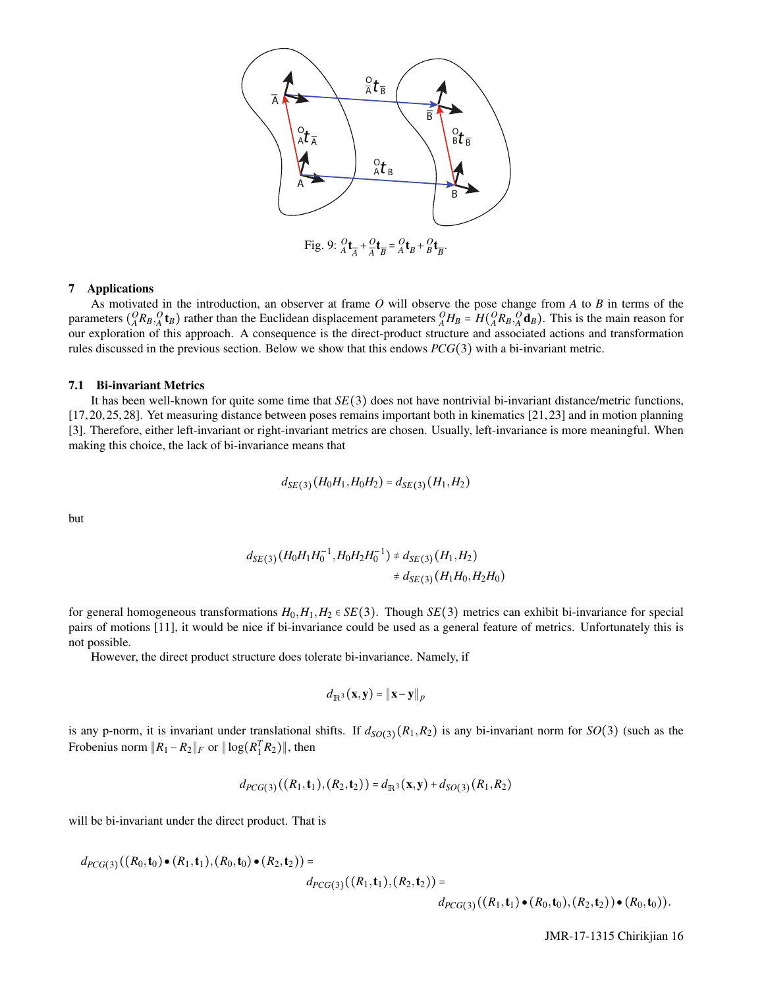

# 7 Applications

As motivated in the introduction, an observer at frame *O* will observe the pose change from *A* to *B* in terms of the parameters  $({}^{O}_A R_B, {}^{O}_A t_B)$  rather than the Euclidean displacement parameters  ${}^{O}_A H_B = H({}^{O}_A R_B, {}^{O}_A d_B)$ . This is the main reason for our exploration of this approach. A consequence is the direct-product structure and associated actions and transformation rules discussed in the previous section. Below we show that this endows *PCG*(3) with a bi-invariant metric.

## 7.1 Bi-invariant Metrics

It has been well-known for quite some time that *SE*(3) does not have nontrivial bi-invariant distance/metric functions, [17, 20, 25, 28]. Yet measuring distance between poses remains important both in kinematics [21, 23] and in motion planning [3]. Therefore, either left-invariant or right-invariant metrics are chosen. Usually, left-invariance is more meaningful. When making this choice, the lack of bi-invariance means that

$$
d_{SE(3)}(H_0H_1, H_0H_2) = d_{SE(3)}(H_1, H_2)
$$

but

$$
d_{SE(3)}(H_0H_1H_0^{-1},H_0H_2H_0^{-1}) \neq d_{SE(3)}(H_1,H_2)
$$
  

$$
\neq d_{SE(3)}(H_1H_0,H_2H_0)
$$

for general homogeneous transformations  $H_0, H_1, H_2 \in SE(3)$ . Though *SE*(3) metrics can exhibit bi-invariance for special pairs of motions [11], it would be nice if bi-invariance could be used as a general feature of metrics. Unfortunately this is not possible.

However, the direct product structure does tolerate bi-invariance. Namely, if

$$
d_{\mathbb{R}^3}(\mathbf{x}, \mathbf{y}) = \|\mathbf{x} - \mathbf{y}\|_p
$$

is any p-norm, it is invariant under translational shifts. If  $d_{SO(3)}(R_1,R_2)$  is any bi-invariant norm for  $SO(3)$  (such as the Frobenius norm  $||R_1 - R_2||_F$  or  $||log(R_1^T R_2)||$ , then

$$
d_{PCG(3)}((R_1, \mathbf{t}_1), (R_2, \mathbf{t}_2)) = d_{\mathbb{R}^3}(\mathbf{x}, \mathbf{y}) + d_{SO(3)}(R_1, R_2)
$$

will be bi-invariant under the direct product. That is

$$
d_{PCG(3)}((R_0,\mathbf{t}_0)\bullet(R_1,\mathbf{t}_1),(R_0,\mathbf{t}_0)\bullet(R_2,\mathbf{t}_2))=
$$

$$
d_{PCG(3)}((R_1, t_1), (R_2, t_2)) =
$$

 $d_{PCG(3)}((R_1, t_1) \bullet (R_0, t_0), (R_2, t_2)) \bullet (R_0, t_0)).$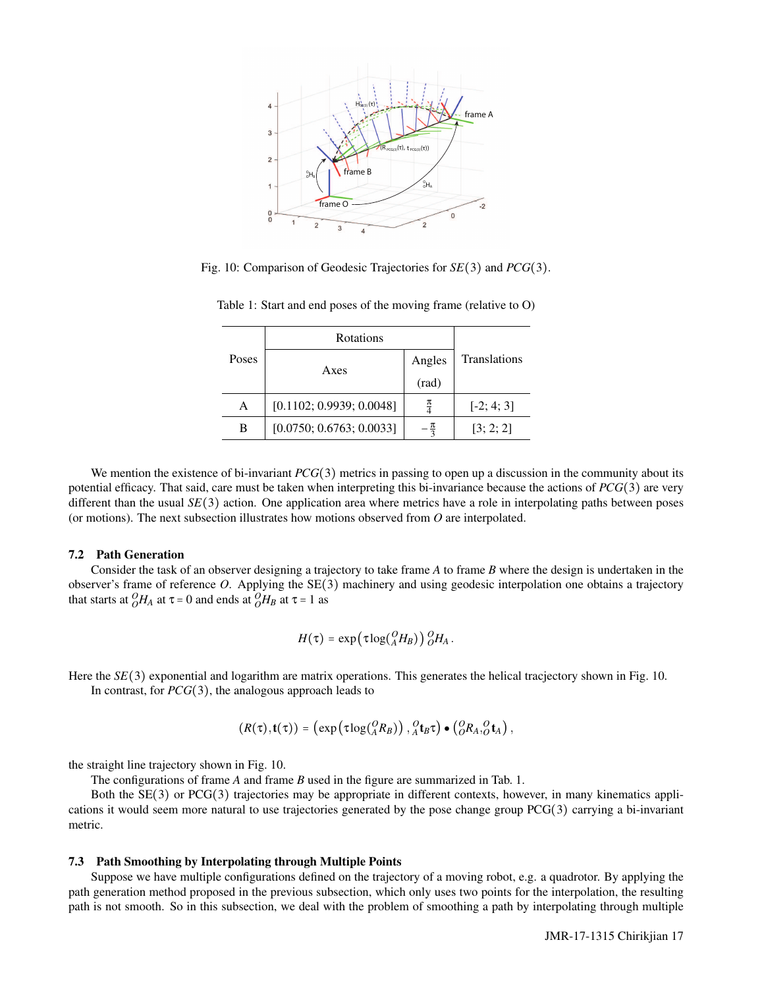

Fig. 10: Comparison of Geodesic Trajectories for *SE*(3) and *PCG*(3).

| Poses | Rotations                |                 |                     |
|-------|--------------------------|-----------------|---------------------|
|       | Axes                     | Angles          | <b>Translations</b> |
|       |                          | (rad)           |                     |
| А     | [0.1102; 0.9939; 0.0048] | $\frac{\pi}{4}$ | $[-2; 4; 3]$        |
| B     | [0.0750; 0.6763; 0.0033] |                 | [3; 2; 2]           |

Table 1: Start and end poses of the moving frame (relative to O)

We mention the existence of bi-invariant *PCG*(3) metrics in passing to open up a discussion in the community about its potential efficacy. That said, care must be taken when interpreting this bi-invariance because the actions of *PCG*(3) are very different than the usual  $SE(3)$  action. One application area where metrics have a role in interpolating paths between poses (or motions). The next subsection illustrates how motions observed from *O* are interpolated.

# 7.2 Path Generation

Consider the task of an observer designing a trajectory to take frame *A* to frame *B* where the design is undertaken in the observer's frame of reference *O*. Applying the SE(3) machinery and using geodesic interpolation one obtains a trajectory that starts at  $^{O}_{O}H_{A}$  at  $\tau = 0$  and ends at  $^{O}_{O}H_{B}$  at  $\tau = 1$  as

$$
H(\tau) = \exp\left(\tau \log({^O_A H_B})\right) {}^O_B H_A.
$$

Here the *SE*(3) exponential and logarithm are matrix operations. This generates the helical tracjectory shown in Fig. 10. In contrast, for *PCG*(3), the analogous approach leads to

$$
(R(\tau), \mathbf{t}(\tau)) = (\exp(\tau \log({}^{O}_A R_B)), {}^{O}_A \mathbf{t}_B \tau) \bullet ({}^{O}_O R_A, {}^{O}_O \mathbf{t}_A),
$$

the straight line trajectory shown in Fig. 10.

The configurations of frame *A* and frame *B* used in the figure are summarized in Tab. 1.

Both the SE(3) or PCG(3) trajectories may be appropriate in different contexts, however, in many kinematics applications it would seem more natural to use trajectories generated by the pose change group PCG(3) carrying a bi-invariant metric.

## 7.3 Path Smoothing by Interpolating through Multiple Points

Suppose we have multiple configurations defined on the trajectory of a moving robot, e.g. a quadrotor. By applying the path generation method proposed in the previous subsection, which only uses two points for the interpolation, the resulting path is not smooth. So in this subsection, we deal with the problem of smoothing a path by interpolating through multiple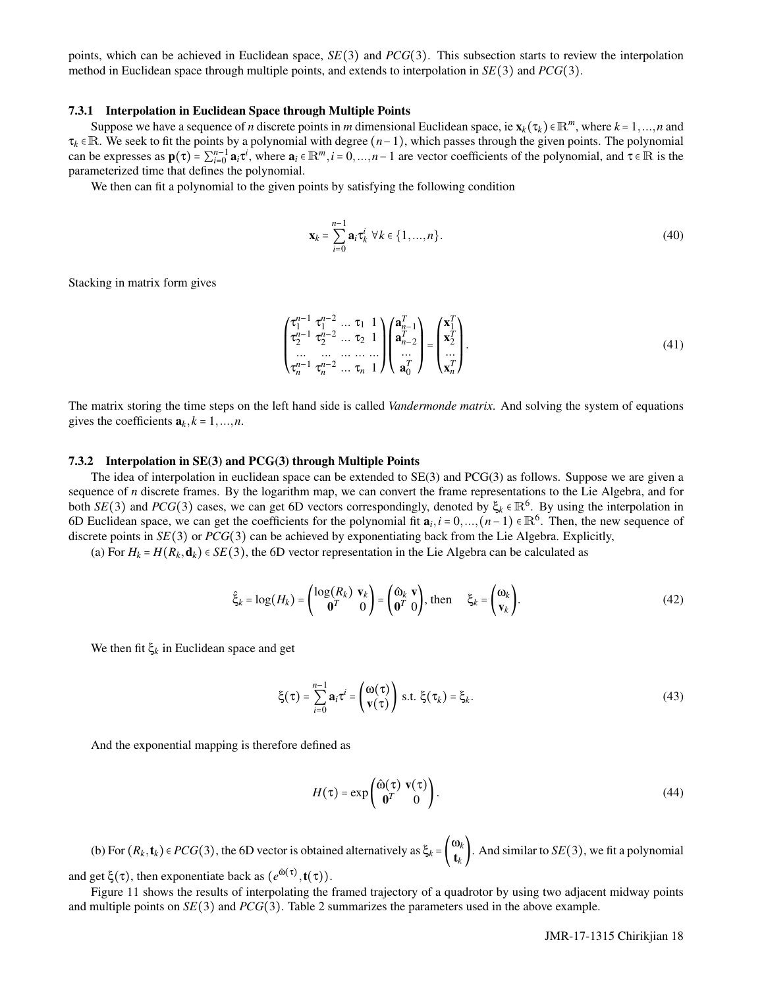points, which can be achieved in Euclidean space, *SE*(3) and *PCG*(3). This subsection starts to review the interpolation method in Euclidean space through multiple points, and extends to interpolation in *SE*(3) and *PCG*(3).

#### 7.3.1 Interpolation in Euclidean Space through Multiple Points

Suppose we have a sequence of *n* discrete points in *m* dimensional Euclidean space, ie  $\mathbf{x}_k(\tau_k) \in \mathbb{R}^m$ , where  $k = 1, ..., n$  and τ*<sup>k</sup>* ∈ R. We seek to fit the points by a polynomial with degree (*n*−1), which passes through the given points. The polynomial can be expresses as  $\mathbf{p}(\tau) = \sum_{i=0}^{n-1} \mathbf{a}_i \tau^i$ , where  $\mathbf{a}_i \in \mathbb{R}^m$ ,  $i = 0, ..., n-1$  are vector coefficients of the polynomial, and  $\tau \in \mathbb{R}$  is the parameterized time that defines the polynomial.

We then can fit a polynomial to the given points by satisfying the following condition

$$
\mathbf{x}_{k} = \sum_{i=0}^{n-1} \mathbf{a}_{i} \tau_{k}^{i} \ \forall k \in \{1, ..., n\}.
$$
 (40)

Stacking in matrix form gives

$$
\begin{pmatrix}\n\tau_1^{n-1} & \tau_1^{n-2} & \dots & \tau_1 & 1 \\
\tau_2^{n-1} & \tau_2^{n-2} & \dots & \tau_2 & 1 \\
\dots & \dots & \dots & \dots & \dots \\
\tau_n^{n-1} & \tau_n^{n-2} & \dots & \tau_n & 1\n\end{pmatrix}\n\begin{pmatrix}\n\mathbf{a}_{n-1}^T \\
\mathbf{a}_{n-2}^T \\
\dots \\
\mathbf{a}_0^T\n\end{pmatrix} =\n\begin{pmatrix}\n\mathbf{x}_1^T \\
\mathbf{x}_2^T \\
\dots \\
\mathbf{x}_n^T\n\end{pmatrix}.
$$
\n(41)

The matrix storing the time steps on the left hand side is called *Vandermonde matrix*. And solving the system of equations gives the coefficients  $a_k, k = 1, ..., n$ .

## 7.3.2 Interpolation in SE(3) and PCG(3) through Multiple Points

The idea of interpolation in euclidean space can be extended to SE(3) and PCG(3) as follows. Suppose we are given a sequence of *n* discrete frames. By the logarithm map, we can convert the frame representations to the Lie Algebra, and for both *SE*(3) and *PCG*(3) cases, we can get 6D vectors correspondingly, denoted by  $\xi_k \in \mathbb{R}^6$ . By using the interpolation in 6D Euclidean space, we can get the coefficients for the polynomial fit  $a_i, i = 0, ..., (n-1) \in \mathbb{R}^6$ . Then, the new sequence of discrete points in *SE*(3) or *PCG*(3) can be achieved by exponentiating back from the Lie Algebra. Explicitly,

(a) For  $H_k = H(R_k, \mathbf{d}_k) \in SE(3)$ , the 6D vector representation in the Lie Algebra can be calculated as

$$
\hat{\xi}_k = \log(H_k) = \begin{pmatrix} \log(R_k) & \mathbf{v}_k \\ \mathbf{0}^T & 0 \end{pmatrix} = \begin{pmatrix} \hat{\omega}_k & \mathbf{v} \\ \mathbf{0}^T & 0 \end{pmatrix}, \text{ then } \xi_k = \begin{pmatrix} \omega_k \\ \mathbf{v}_k \end{pmatrix}.
$$
 (42)

We then fit  $\xi_k$  in Euclidean space and get

$$
\xi(\tau) = \sum_{i=0}^{n-1} \mathbf{a}_i \tau^i = \begin{pmatrix} \omega(\tau) \\ \mathbf{v}(\tau) \end{pmatrix} \text{ s.t. } \xi(\tau_k) = \xi_k.
$$
 (43)

And the exponential mapping is therefore defined as

$$
H(\tau) = \exp\left(\begin{array}{cc} \hat{\omega}(\tau) & \mathbf{v}(\tau) \\ \mathbf{0}^T & 0 \end{array}\right). \tag{44}
$$

(b) For  $(R_k, t_k) \in PCG(3)$ , the 6D vector is obtained alternatively as  $\xi_k = \begin{pmatrix} \omega_k \\ t_k \end{pmatrix}$  $\mathbf{t}_{k}^{w_{k}}$ . And similar to *SE*(3), we fit a polynomial and get  $\xi(\tau)$ , then exponentiate back as  $(e^{\hat{\omega}(\tau)}, t(\tau))$ .

Figure 11 shows the results of interpolating the framed trajectory of a quadrotor by using two adjacent midway points and multiple points on *SE*(3) and *PCG*(3). Table 2 summarizes the parameters used in the above example.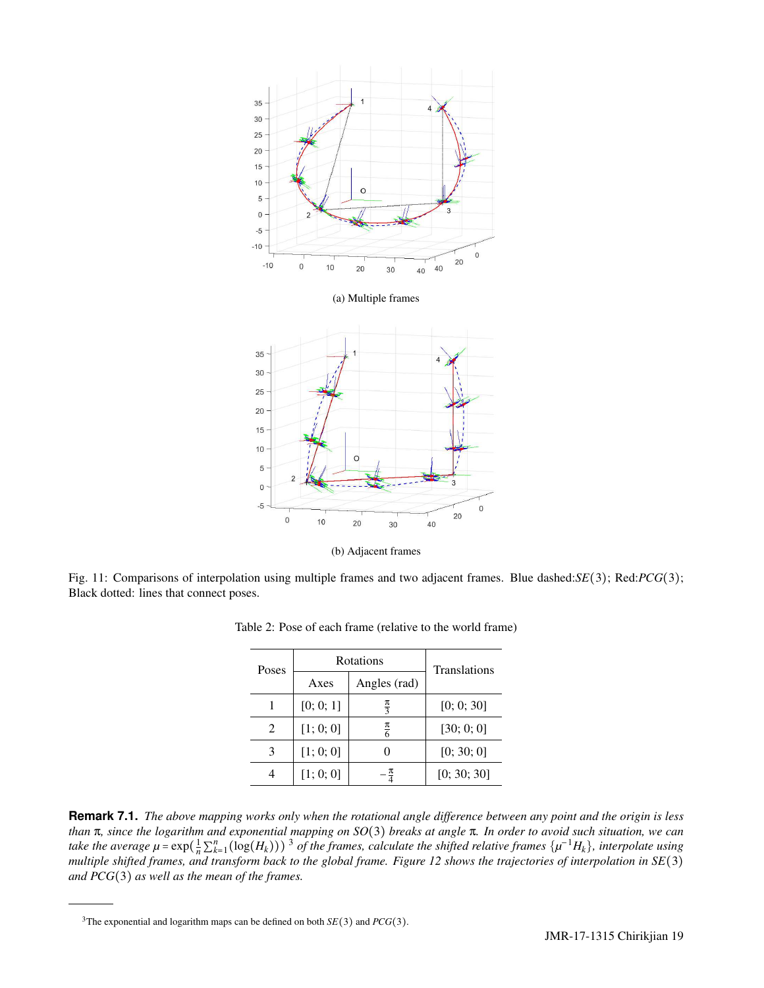

Fig. 11: Comparisons of interpolation using multiple frames and two adjacent frames. Blue dashed:*SE*(3); Red:*PCG*(3); Black dotted: lines that connect poses.

| Poses                       | Rotations |                 | <b>Translations</b> |  |
|-----------------------------|-----------|-----------------|---------------------|--|
|                             | Axes      | Angles (rad)    |                     |  |
|                             | [0; 0; 1] | $\frac{\pi}{3}$ | [0; 0; 30]          |  |
| $\mathcal{D}_{\mathcal{L}}$ | [1; 0; 0] | $\frac{\pi}{6}$ | [30; 0; 0]          |  |
| 3                           | [1; 0; 0] |                 | [0; 30; 0]          |  |
|                             | [1; 0; 0] | π               | [0; 30; 30]         |  |

Table 2: Pose of each frame (relative to the world frame)

**Remark 7.1.** *The above mapping works only when the rotational angle difference between any point and the origin is less than* π*, since the logarithm and exponential mapping on SO*(3) *breaks at angle* π*. In order to avoid such situation, we can* take the average  $\mu$  =  $\exp(\frac{1}{n}\sum_{k=1}^{n}(\log(H_k)))$ <sup>3</sup> of the frames, calculate the shifted relative frames  $\{\mu^{-1}H_k\}$ , interpolate using *multiple shifted frames, and transform back to the global frame. Figure 12 shows the trajectories of interpolation in SE*(3) *and PCG*(3) *as well as the mean of the frames.*

<sup>&</sup>lt;sup>3</sup>The exponential and logarithm maps can be defined on both  $SE(3)$  and  $PCG(3)$ .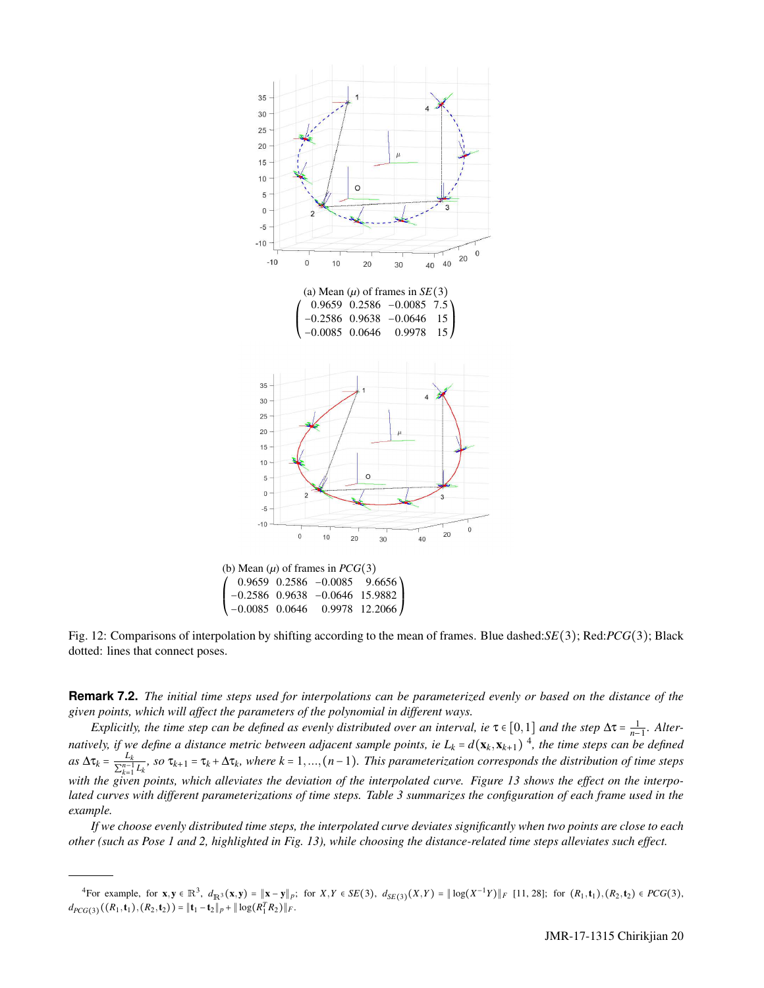

Fig. 12: Comparisons of interpolation by shifting according to the mean of frames. Blue dashed:*SE*(3); Red:*PCG*(3); Black dotted: lines that connect poses.

 $\prime$ ⎜ ⎝

**Remark 7.2.** *The initial time steps used for interpolations can be parameterized evenly or based on the distance of the given points, which will affect the parameters of the polynomial in different ways.*

*Explicitly, the time step can be defined as evenly distributed over an interval, ie*  $\tau \in [0,1]$  *and the step*  $\Delta \tau = \frac{1}{n-1}$ *. Alternatively, if we define a distance metric between adjacent sample points, ie*  $L_k$  =  $d(\mathbf{x}_k, \mathbf{x}_{k+1})$ <sup>4</sup>, the time steps can be defined  $as \Delta \tau_k = \frac{L_k}{\nabla^{n-1}}$  $\frac{L_k}{\sum_{k=1}^{n-1}L_k}$ , so  $\tau_{k+1} = \tau_k + \Delta \tau_k$ , where  $k = 1, ..., (n-1)$ . This parameterization corresponds the distribution of time steps *with the given points, which alleviates the deviation of the interpolated curve. Figure 13 shows the effect on the interpolated curves with different parameterizations of time steps. Table 3 summarizes the configuration of each frame used in the example.*

*If we choose evenly distributed time steps, the interpolated curve deviates significantly when two points are close to each other (such as Pose 1 and 2, highlighted in Fig. 13), while choosing the distance-related time steps alleviates such effect.*

<sup>&</sup>lt;sup>4</sup>For example, for  $x, y \in \mathbb{R}^3$ ,  $d_{\mathbb{R}^3}(x, y) = ||x - y||_p$ ; for  $X, Y \in SE(3)$ ,  $d_{SE(3)}(X, Y) = ||\log(X^{-1}Y)||_F$  [11, 28]; for  $(R_1, t_1), (R_2, t_2) \in PCG(3)$ ,  $d_{PCG(3)}((R_1, \mathbf{t}_1), (R_2, \mathbf{t}_2)) = ||\mathbf{t}_1 - \mathbf{t}_2||_p + ||\log(R_1^T R_2)||_F.$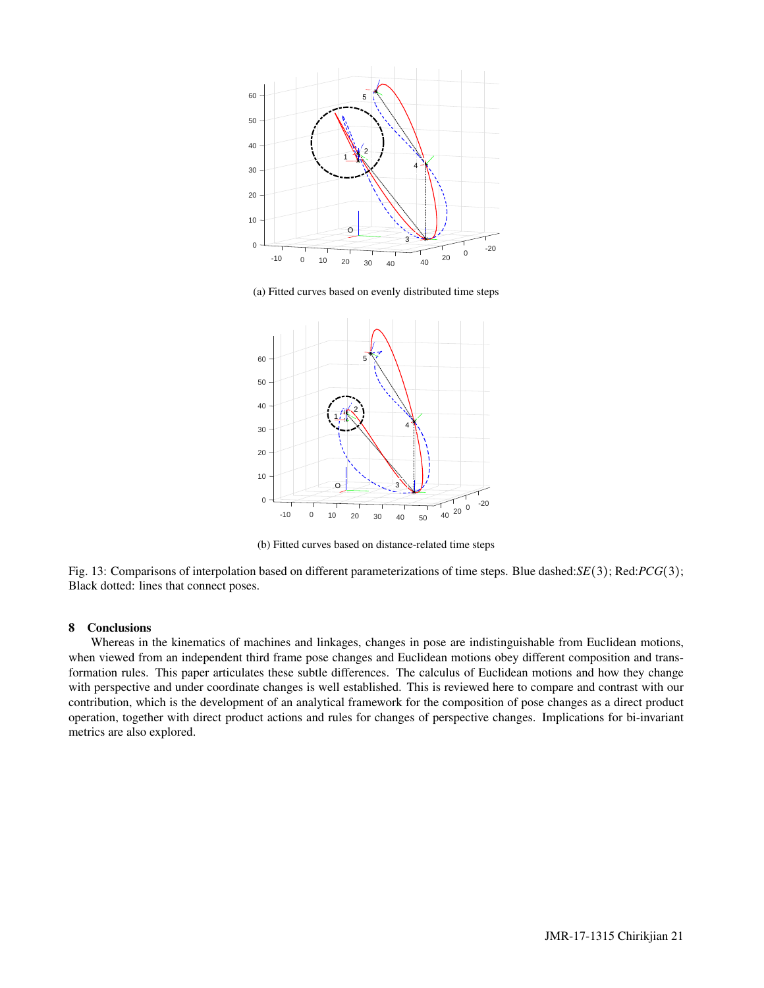

(a) Fitted curves based on evenly distributed time steps



(b) Fitted curves based on distance-related time steps

Fig. 13: Comparisons of interpolation based on different parameterizations of time steps. Blue dashed:*SE*(3); Red:*PCG*(3); Black dotted: lines that connect poses.

# 8 Conclusions

Whereas in the kinematics of machines and linkages, changes in pose are indistinguishable from Euclidean motions, when viewed from an independent third frame pose changes and Euclidean motions obey different composition and transformation rules. This paper articulates these subtle differences. The calculus of Euclidean motions and how they change with perspective and under coordinate changes is well established. This is reviewed here to compare and contrast with our contribution, which is the development of an analytical framework for the composition of pose changes as a direct product operation, together with direct product actions and rules for changes of perspective changes. Implications for bi-invariant metrics are also explored.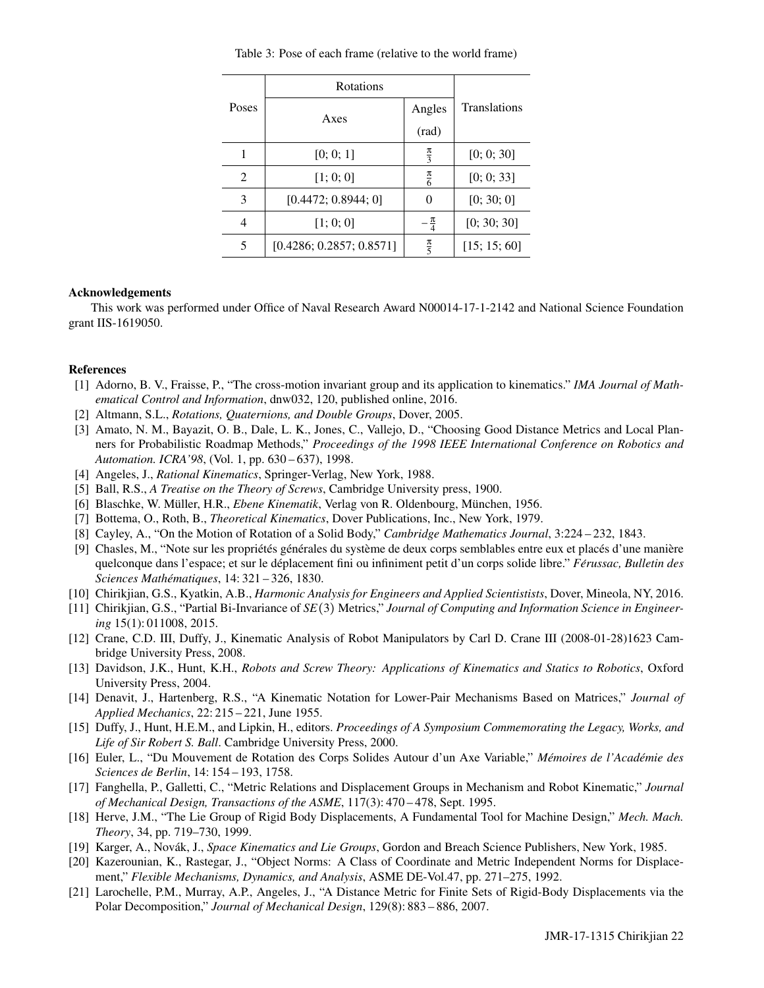Table 3: Pose of each frame (relative to the world frame)

| Poses          | Rotations                |                 |                     |
|----------------|--------------------------|-----------------|---------------------|
|                | Axes                     | Angles          | <b>Translations</b> |
|                |                          | (rad)           |                     |
|                | [0; 0; 1]                | $\frac{\pi}{3}$ | [0; 0; 30]          |
| $\mathfrak{D}$ | [1; 0; 0]                | $\frac{\pi}{6}$ | [0; 0; 33]          |
| 3              | [0.4472; 0.8944; 0]      | 0               | [0; 30; 0]          |
| 4              | [1; 0; 0]                | $\frac{\pi}{4}$ | [0; 30; 30]         |
| 5              | [0.4286; 0.2857; 0.8571] | $\frac{\pi}{5}$ | [15; 15; 60]        |

## Acknowledgements

This work was performed under Office of Naval Research Award N00014-17-1-2142 and National Science Foundation grant IIS-1619050.

# References

- [1] Adorno, B. V., Fraisse, P., "The cross-motion invariant group and its application to kinematics." *IMA Journal of Mathematical Control and Information*, dnw032, 120, published online, 2016.
- [2] Altmann, S.L., *Rotations, Quaternions, and Double Groups*, Dover, 2005.
- [3] Amato, N. M., Bayazit, O. B., Dale, L. K., Jones, C., Vallejo, D., "Choosing Good Distance Metrics and Local Planners for Probabilistic Roadmap Methods," *Proceedings of the 1998 IEEE International Conference on Robotics and Automation. ICRA'98*, (Vol. 1, pp. 630 – 637), 1998.
- [4] Angeles, J., *Rational Kinematics*, Springer-Verlag, New York, 1988.
- [5] Ball, R.S., *A Treatise on the Theory of Screws*, Cambridge University press, 1900.
- [6] Blaschke, W. Müller, H.R., *Ebene Kinematik*, Verlag von R. Oldenbourg, München, 1956.
- [7] Bottema, O., Roth, B., *Theoretical Kinematics*, Dover Publications, Inc., New York, 1979.
- [8] Cayley, A., "On the Motion of Rotation of a Solid Body," *Cambridge Mathematics Journal*, 3:224 232, 1843.
- [9] Chasles, M., "Note sur les propriétés générales du système de deux corps semblables entre eux et placés d'une manière quelconque dans l'espace; et sur le déplacement fini ou infiniment petit d'un corps solide libre." *Férussac, Bulletin des Sciences Mathematiques ´* , 14: 321 – 326, 1830.
- [10] Chirikjian, G.S., Kyatkin, A.B., *Harmonic Analysis for Engineers and Applied Scientistists*, Dover, Mineola, NY, 2016.
- [11] Chirikjian, G.S., "Partial Bi-Invariance of *SE*(3) Metrics," *Journal of Computing and Information Science in Engineering* 15(1): 011008, 2015.
- [12] Crane, C.D. III, Duffy, J., Kinematic Analysis of Robot Manipulators by Carl D. Crane III (2008-01-28)1623 Cambridge University Press, 2008.
- [13] Davidson, J.K., Hunt, K.H., *Robots and Screw Theory: Applications of Kinematics and Statics to Robotics*, Oxford University Press, 2004.
- [14] Denavit, J., Hartenberg, R.S., "A Kinematic Notation for Lower-Pair Mechanisms Based on Matrices," *Journal of Applied Mechanics*, 22: 215 – 221, June 1955.
- [15] Duffy, J., Hunt, H.E.M., and Lipkin, H., editors. *Proceedings of A Symposium Commemorating the Legacy, Works, and Life of Sir Robert S. Ball*. Cambridge University Press, 2000.
- [16] Euler, L., "Du Mouvement de Rotation des Corps Solides Autour d'un Axe Variable," Mémoires de l'Académie des *Sciences de Berlin*, 14: 154 – 193, 1758.
- [17] Fanghella, P., Galletti, C., "Metric Relations and Displacement Groups in Mechanism and Robot Kinematic," *Journal of Mechanical Design, Transactions of the ASME*, 117(3): 470 – 478, Sept. 1995.
- [18] Herve, J.M., "The Lie Group of Rigid Body Displacements, A Fundamental Tool for Machine Design," *Mech. Mach. Theory*, 34, pp. 719–730, 1999.
- [19] Karger, A., Novák, J., Space Kinematics and Lie Groups, Gordon and Breach Science Publishers, New York, 1985.
- [20] Kazerounian, K., Rastegar, J., "Object Norms: A Class of Coordinate and Metric Independent Norms for Displacement," *Flexible Mechanisms, Dynamics, and Analysis*, ASME DE-Vol.47, pp. 271–275, 1992.
- [21] Larochelle, P.M., Murray, A.P., Angeles, J., "A Distance Metric for Finite Sets of Rigid-Body Displacements via the Polar Decomposition," *Journal of Mechanical Design*, 129(8): 883 – 886, 2007.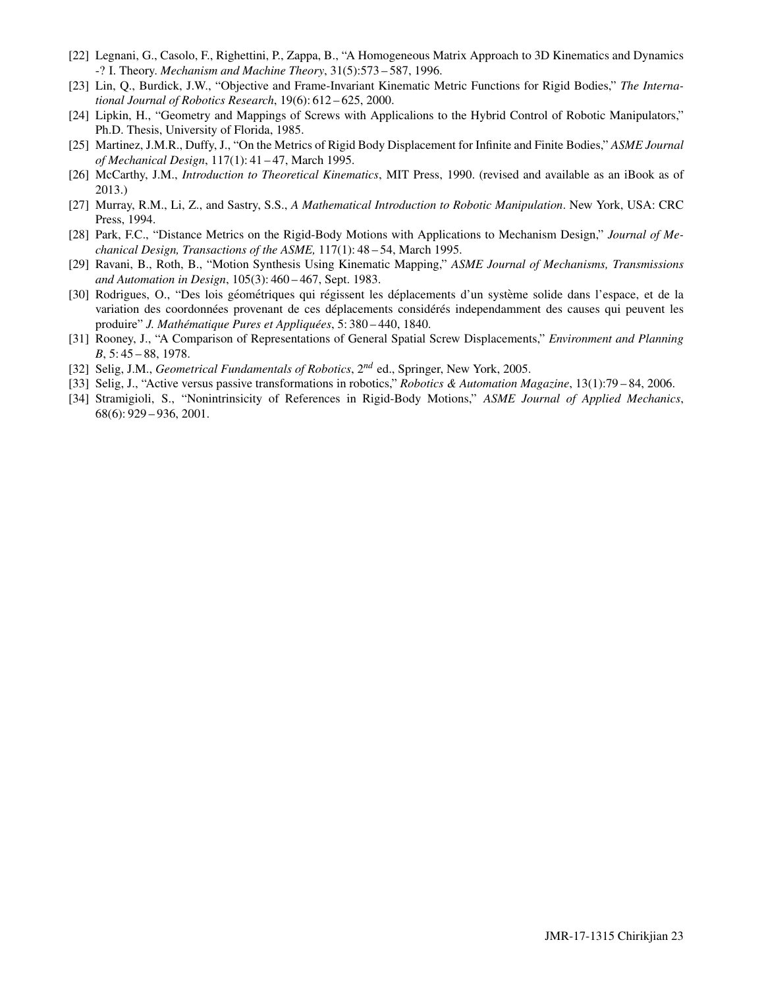- [22] Legnani, G., Casolo, F., Righettini, P., Zappa, B., "A Homogeneous Matrix Approach to 3D Kinematics and Dynamics -? I. Theory. *Mechanism and Machine Theory*, 31(5):573 – 587, 1996.
- [23] Lin, Q., Burdick, J.W., "Objective and Frame-Invariant Kinematic Metric Functions for Rigid Bodies," *The International Journal of Robotics Research*, 19(6): 612 – 625, 2000.
- [24] Lipkin, H., "Geometry and Mappings of Screws with Applicalions to the Hybrid Control of Robotic Manipulators," Ph.D. Thesis, University of Florida, 1985.
- [25] Martinez, J.M.R., Duffy, J., "On the Metrics of Rigid Body Displacement for Infinite and Finite Bodies," *ASME Journal of Mechanical Design*, 117(1): 41 – 47, March 1995.
- [26] McCarthy, J.M., *Introduction to Theoretical Kinematics*, MIT Press, 1990. (revised and available as an iBook as of 2013.)
- [27] Murray, R.M., Li, Z., and Sastry, S.S., *A Mathematical Introduction to Robotic Manipulation*. New York, USA: CRC Press, 1994.
- [28] Park, F.C., "Distance Metrics on the Rigid-Body Motions with Applications to Mechanism Design," *Journal of Mechanical Design, Transactions of the ASME,* 117(1): 48 – 54, March 1995.
- [29] Ravani, B., Roth, B., "Motion Synthesis Using Kinematic Mapping," *ASME Journal of Mechanisms, Transmissions and Automation in Design*, 105(3): 460 – 467, Sept. 1983.
- [30] Rodrigues, O., "Des lois géométriques qui régissent les déplacements d'un système solide dans l'espace, et de la variation des coordonnées provenant de ces déplacements considérés independamment des causes qui peuvent les produire" *J. Mathématique Pures et Appliquées*, 5: 380 – 440, 1840.
- [31] Rooney, J., "A Comparison of Representations of General Spatial Screw Displacements," *Environment and Planning B*, 5: 45 – 88, 1978.
- [32] Selig, J.M., *Geometrical Fundamentals of Robotics*, 2*nd* ed., Springer, New York, 2005.
- [33] Selig, J., "Active versus passive transformations in robotics," *Robotics & Automation Magazine*, 13(1):79 84, 2006.
- [34] Stramigioli, S., "Nonintrinsicity of References in Rigid-Body Motions," *ASME Journal of Applied Mechanics*, 68(6): 929 – 936, 2001.